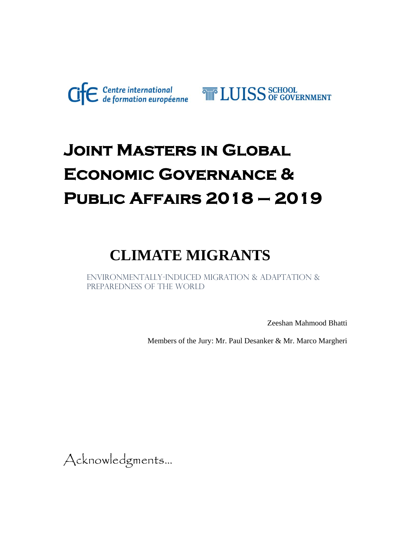

# **Joint Masters in Global Economic Governance & Public Affairs 2018 – 2019**

## **CLIMATE MIGRANTS**

Environmentally-induced migration & Adaptation & PREPAREDNESS OF THE WORLD

Zeeshan Mahmood Bhatti

Members of the Jury: Mr. Paul Desanker & Mr. Marco Margheri

Acknowledgments...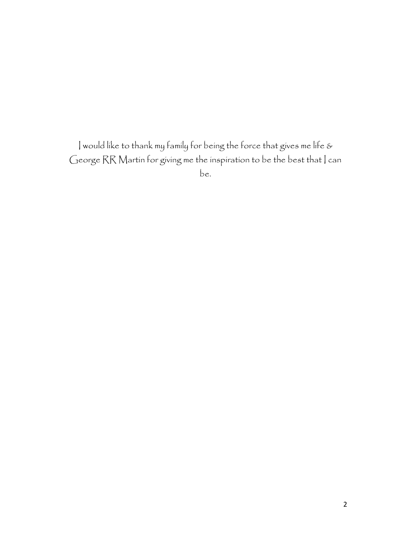I would like to thank my family for being the force that gives me life & George RR Martin for giving me the inspiration to be the best that | can be.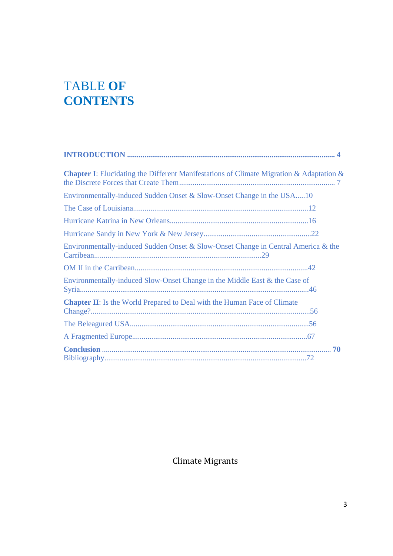## TABLE **OF CONTENTS**

| <b>Chapter I:</b> Elucidating the Different Manifestations of Climate Migration & Adaptation & |
|------------------------------------------------------------------------------------------------|
| Environmentally-induced Sudden Onset & Slow-Onset Change in the USA10                          |
|                                                                                                |
|                                                                                                |
|                                                                                                |
| Environmentally-induced Sudden Onset & Slow-Onset Change in Central America & the              |
|                                                                                                |
| Environmentally-induced Slow-Onset Change in the Middle East & the Case of                     |
| <b>Chapter II:</b> Is the World Prepared to Deal with the Human Face of Climate                |
|                                                                                                |
|                                                                                                |
|                                                                                                |

Climate Migrants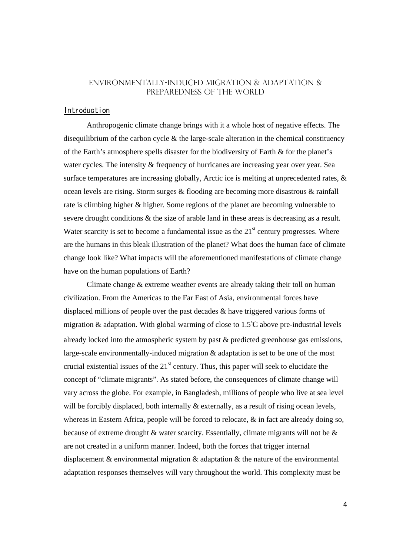### Environmentally-induced migration & Adaptation & PREPAREDNESS OF THE WORLD

#### Introduction

Anthropogenic climate change brings with it a whole host of negative effects. The disequilibrium of the carbon cycle & the large-scale alteration in the chemical constituency of the Earth's atmosphere spells disaster for the biodiversity of Earth & for the planet's water cycles. The intensity & frequency of hurricanes are increasing year over year. Sea surface temperatures are increasing globally, Arctic ice is melting at unprecedented rates, & ocean levels are rising. Storm surges & flooding are becoming more disastrous & rainfall rate is climbing higher & higher. Some regions of the planet are becoming vulnerable to severe drought conditions & the size of arable land in these areas is decreasing as a result. Water scarcity is set to become a fundamental issue as the  $21<sup>st</sup>$  century progresses. Where are the humans in this bleak illustration of the planet? What does the human face of climate change look like? What impacts will the aforementioned manifestations of climate change have on the human populations of Earth?

Climate change & extreme weather events are already taking their toll on human civilization. From the Americas to the Far East of Asia, environmental forces have displaced millions of people over the past decades & have triggered various forms of migration & adaptation. With global warming of close to 1.5°C above pre-industrial levels already locked into the atmospheric system by past & predicted greenhouse gas emissions, large-scale environmentally-induced migration & adaptation is set to be one of the most crucial existential issues of the  $21<sup>st</sup>$  century. Thus, this paper will seek to elucidate the concept of "climate migrants". As stated before, the consequences of climate change will vary across the globe. For example, in Bangladesh, millions of people who live at sea level will be forcibly displaced, both internally & externally, as a result of rising ocean levels, whereas in Eastern Africa, people will be forced to relocate,  $\&$  in fact are already doing so, because of extreme drought & water scarcity. Essentially, climate migrants will not be & are not created in a uniform manner. Indeed, both the forces that trigger internal displacement  $\&$  environmental migration  $\&$  adaptation  $\&$  the nature of the environmental adaptation responses themselves will vary throughout the world. This complexity must be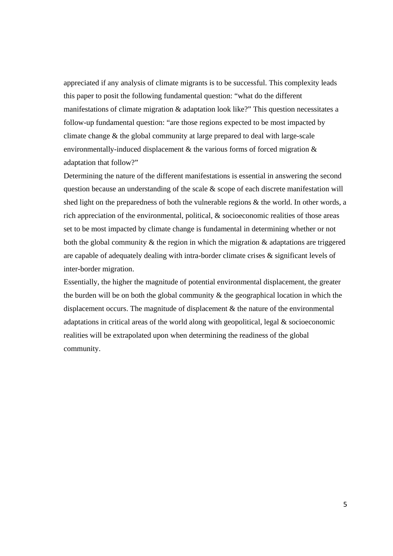appreciated if any analysis of climate migrants is to be successful. This complexity leads this paper to posit the following fundamental question: "what do the different manifestations of climate migration & adaptation look like?" This question necessitates a follow-up fundamental question: "are those regions expected to be most impacted by climate change & the global community at large prepared to deal with large-scale environmentally-induced displacement & the various forms of forced migration & adaptation that follow?"

Determining the nature of the different manifestations is essential in answering the second question because an understanding of the scale & scope of each discrete manifestation will shed light on the preparedness of both the vulnerable regions & the world. In other words, a rich appreciation of the environmental, political, & socioeconomic realities of those areas set to be most impacted by climate change is fundamental in determining whether or not both the global community  $\&$  the region in which the migration  $\&$  adaptations are triggered are capable of adequately dealing with intra-border climate crises & significant levels of inter-border migration.

Essentially, the higher the magnitude of potential environmental displacement, the greater the burden will be on both the global community  $\&$  the geographical location in which the displacement occurs. The magnitude of displacement  $\&$  the nature of the environmental adaptations in critical areas of the world along with geopolitical, legal & socioeconomic realities will be extrapolated upon when determining the readiness of the global community.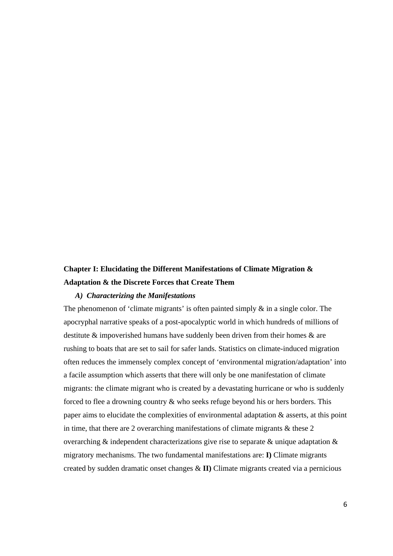## **Chapter I: Elucidating the Different Manifestations of Climate Migration & Adaptation & the Discrete Forces that Create Them**

#### *A) Characterizing the Manifestations*

The phenomenon of 'climate migrants' is often painted simply  $\&$  in a single color. The apocryphal narrative speaks of a post-apocalyptic world in which hundreds of millions of destitute & impoverished humans have suddenly been driven from their homes & are rushing to boats that are set to sail for safer lands. Statistics on climate-induced migration often reduces the immensely complex concept of 'environmental migration/adaptation' into a facile assumption which asserts that there will only be one manifestation of climate migrants: the climate migrant who is created by a devastating hurricane or who is suddenly forced to flee a drowning country & who seeks refuge beyond his or hers borders. This paper aims to elucidate the complexities of environmental adaptation & asserts, at this point in time, that there are 2 overarching manifestations of climate migrants  $\&$  these 2 overarching & independent characterizations give rise to separate & unique adaptation & migratory mechanisms. The two fundamental manifestations are: **I)** Climate migrants created by sudden dramatic onset changes & **II)** Climate migrants created via a pernicious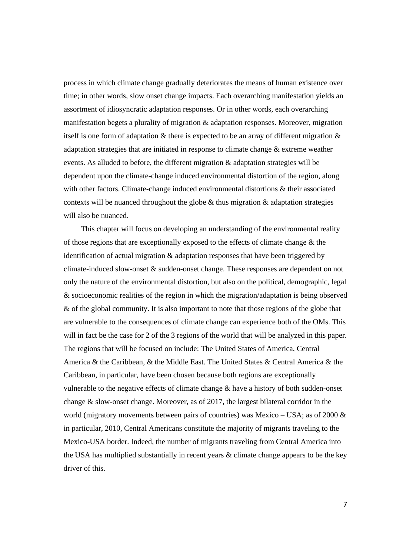process in which climate change gradually deteriorates the means of human existence over time; in other words, slow onset change impacts. Each overarching manifestation yields an assortment of idiosyncratic adaptation responses. Or in other words, each overarching manifestation begets a plurality of migration & adaptation responses. Moreover, migration itself is one form of adaptation  $\&$  there is expected to be an array of different migration  $\&$ adaptation strategies that are initiated in response to climate change & extreme weather events. As alluded to before, the different migration & adaptation strategies will be dependent upon the climate-change induced environmental distortion of the region, along with other factors. Climate-change induced environmental distortions  $\&$  their associated contexts will be nuanced throughout the globe  $\&$  thus migration  $\&$  adaptation strategies will also be nuanced.

This chapter will focus on developing an understanding of the environmental reality of those regions that are exceptionally exposed to the effects of climate change & the identification of actual migration & adaptation responses that have been triggered by climate-induced slow-onset & sudden-onset change. These responses are dependent on not only the nature of the environmental distortion, but also on the political, demographic, legal & socioeconomic realities of the region in which the migration/adaptation is being observed & of the global community. It is also important to note that those regions of the globe that are vulnerable to the consequences of climate change can experience both of the OMs. This will in fact be the case for 2 of the 3 regions of the world that will be analyzed in this paper. The regions that will be focused on include: The United States of America, Central America & the Caribbean, & the Middle East. The United States & Central America & the Caribbean, in particular, have been chosen because both regions are exceptionally vulnerable to the negative effects of climate change  $\&$  have a history of both sudden-onset change & slow-onset change. Moreover, as of 2017, the largest bilateral corridor in the world (migratory movements between pairs of countries) was Mexico – USA; as of 2000 & in particular, 2010, Central Americans constitute the majority of migrants traveling to the Mexico-USA border. Indeed, the number of migrants traveling from Central America into the USA has multiplied substantially in recent years & climate change appears to be the key driver of this.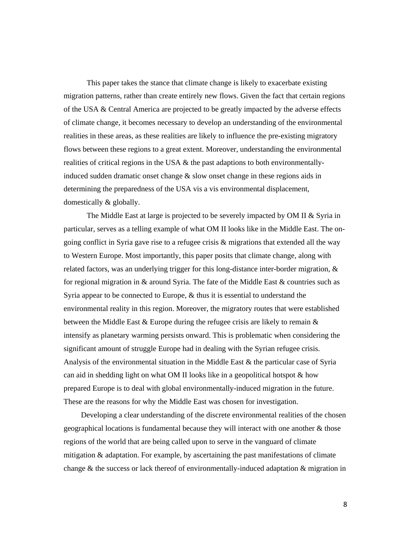This paper takes the stance that climate change is likely to exacerbate existing migration patterns, rather than create entirely new flows. Given the fact that certain regions of the USA & Central America are projected to be greatly impacted by the adverse effects of climate change, it becomes necessary to develop an understanding of the environmental realities in these areas, as these realities are likely to influence the pre-existing migratory flows between these regions to a great extent. Moreover, understanding the environmental realities of critical regions in the USA & the past adaptions to both environmentallyinduced sudden dramatic onset change  $\&$  slow onset change in these regions aids in determining the preparedness of the USA vis a vis environmental displacement, domestically & globally.

The Middle East at large is projected to be severely impacted by OM II & Syria in particular, serves as a telling example of what OM II looks like in the Middle East. The ongoing conflict in Syria gave rise to a refugee crisis & migrations that extended all the way to Western Europe. Most importantly, this paper posits that climate change, along with related factors, was an underlying trigger for this long-distance inter-border migration, & for regional migration in & around Syria. The fate of the Middle East & countries such as Syria appear to be connected to Europe, & thus it is essential to understand the environmental reality in this region. Moreover, the migratory routes that were established between the Middle East & Europe during the refugee crisis are likely to remain & intensify as planetary warming persists onward. This is problematic when considering the significant amount of struggle Europe had in dealing with the Syrian refugee crisis. Analysis of the environmental situation in the Middle East & the particular case of Syria can aid in shedding light on what OM II looks like in a geopolitical hotspot & how prepared Europe is to deal with global environmentally-induced migration in the future. These are the reasons for why the Middle East was chosen for investigation.

Developing a clear understanding of the discrete environmental realities of the chosen geographical locations is fundamental because they will interact with one another & those regions of the world that are being called upon to serve in the vanguard of climate mitigation & adaptation. For example, by ascertaining the past manifestations of climate change & the success or lack thereof of environmentally-induced adaptation & migration in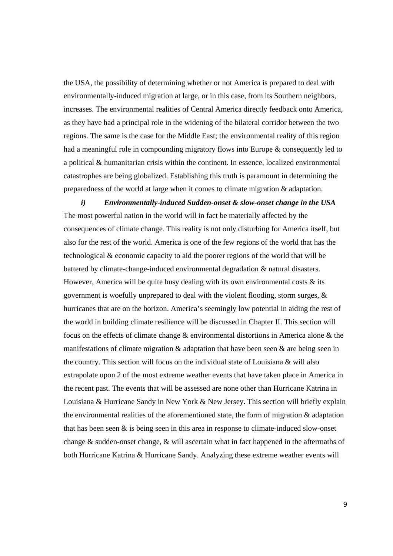the USA, the possibility of determining whether or not America is prepared to deal with environmentally-induced migration at large, or in this case, from its Southern neighbors, increases. The environmental realities of Central America directly feedback onto America, as they have had a principal role in the widening of the bilateral corridor between the two regions. The same is the case for the Middle East; the environmental reality of this region had a meaningful role in compounding migratory flows into Europe & consequently led to a political & humanitarian crisis within the continent. In essence, localized environmental catastrophes are being globalized. Establishing this truth is paramount in determining the preparedness of the world at large when it comes to climate migration & adaptation.

*i) Environmentally-induced Sudden-onset & slow-onset change in the USA*  The most powerful nation in the world will in fact be materially affected by the consequences of climate change. This reality is not only disturbing for America itself, but also for the rest of the world. America is one of the few regions of the world that has the technological & economic capacity to aid the poorer regions of the world that will be battered by climate-change-induced environmental degradation & natural disasters. However, America will be quite busy dealing with its own environmental costs  $\&$  its government is woefully unprepared to deal with the violent flooding, storm surges, & hurricanes that are on the horizon. America's seemingly low potential in aiding the rest of the world in building climate resilience will be discussed in Chapter II. This section will focus on the effects of climate change & environmental distortions in America alone & the manifestations of climate migration  $\&$  adaptation that have been seen  $\&$  are being seen in the country. This section will focus on the individual state of Louisiana & will also extrapolate upon 2 of the most extreme weather events that have taken place in America in the recent past. The events that will be assessed are none other than Hurricane Katrina in Louisiana & Hurricane Sandy in New York & New Jersey. This section will briefly explain the environmental realities of the aforementioned state, the form of migration & adaptation that has been seen  $\&$  is being seen in this area in response to climate-induced slow-onset change & sudden-onset change, & will ascertain what in fact happened in the aftermaths of both Hurricane Katrina & Hurricane Sandy. Analyzing these extreme weather events will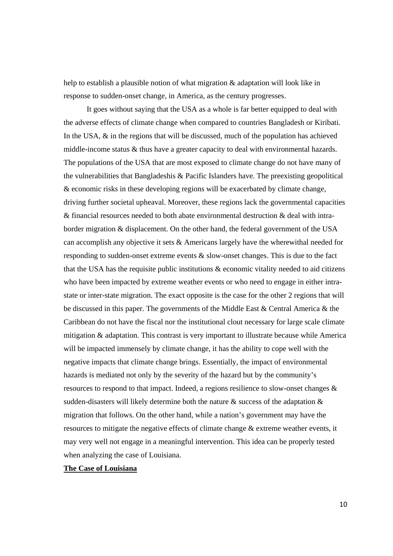help to establish a plausible notion of what migration & adaptation will look like in response to sudden-onset change, in America, as the century progresses.

 It goes without saying that the USA as a whole is far better equipped to deal with the adverse effects of climate change when compared to countries Bangladesh or Kiribati. In the USA,  $\&$  in the regions that will be discussed, much of the population has achieved middle-income status & thus have a greater capacity to deal with environmental hazards. The populations of the USA that are most exposed to climate change do not have many of the vulnerabilities that Bangladeshis & Pacific Islanders have. The preexisting geopolitical & economic risks in these developing regions will be exacerbated by climate change, driving further societal upheaval. Moreover, these regions lack the governmental capacities & financial resources needed to both abate environmental destruction & deal with intraborder migration & displacement. On the other hand, the federal government of the USA can accomplish any objective it sets & Americans largely have the wherewithal needed for responding to sudden-onset extreme events & slow-onset changes. This is due to the fact that the USA has the requisite public institutions & economic vitality needed to aid citizens who have been impacted by extreme weather events or who need to engage in either intrastate or inter-state migration. The exact opposite is the case for the other 2 regions that will be discussed in this paper. The governments of the Middle East & Central America & the Caribbean do not have the fiscal nor the institutional clout necessary for large scale climate mitigation & adaptation. This contrast is very important to illustrate because while America will be impacted immensely by climate change, it has the ability to cope well with the negative impacts that climate change brings. Essentially, the impact of environmental hazards is mediated not only by the severity of the hazard but by the community's resources to respond to that impact. Indeed, a regions resilience to slow-onset changes & sudden-disasters will likely determine both the nature  $\&$  success of the adaptation  $\&$ migration that follows. On the other hand, while a nation's government may have the resources to mitigate the negative effects of climate change & extreme weather events, it may very well not engage in a meaningful intervention. This idea can be properly tested when analyzing the case of Louisiana.

#### **The Case of Louisiana**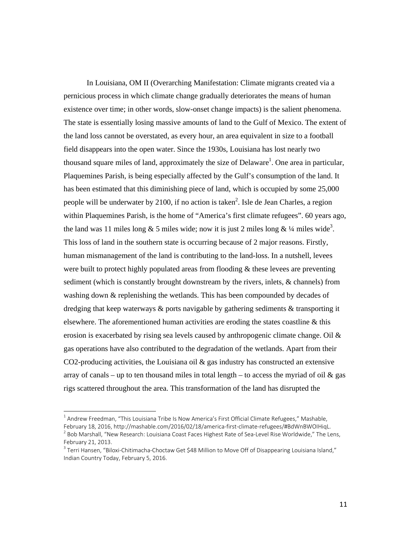In Louisiana, OM II (Overarching Manifestation: Climate migrants created via a pernicious process in which climate change gradually deteriorates the means of human existence over time; in other words, slow-onset change impacts) is the salient phenomena. The state is essentially losing massive amounts of land to the Gulf of Mexico. The extent of the land loss cannot be overstated, as every hour, an area equivalent in size to a football field disappears into the open water. Since the 1930s, Louisiana has lost nearly two thousand square miles of land, approximately the size of Delaware<sup>1</sup>. One area in particular, Plaquemines Parish, is being especially affected by the Gulf's consumption of the land. It has been estimated that this diminishing piece of land, which is occupied by some 25,000 people will be underwater by 2100, if no action is taken<sup>2</sup>. Isle de Jean Charles, a region within Plaquemines Parish, is the home of "America's first climate refugees". 60 years ago, the land was 11 miles long & 5 miles wide; now it is just 2 miles long &  $\frac{1}{4}$  miles wide<sup>3</sup>. This loss of land in the southern state is occurring because of 2 major reasons. Firstly, human mismanagement of the land is contributing to the land-loss. In a nutshell, levees were built to protect highly populated areas from flooding & these levees are preventing sediment (which is constantly brought downstream by the rivers, inlets, & channels) from washing down & replenishing the wetlands. This has been compounded by decades of dredging that keep waterways & ports navigable by gathering sediments & transporting it elsewhere. The aforementioned human activities are eroding the states coastline & this erosion is exacerbated by rising sea levels caused by anthropogenic climate change. Oil & gas operations have also contributed to the degradation of the wetlands. Apart from their CO2-producing activities, the Louisiana oil & gas industry has constructed an extensive array of canals – up to ten thousand miles in total length – to access the myriad of oil  $\&$  gas rigs scattered throughout the area. This transformation of the land has disrupted the

<sup>&</sup>lt;sup>1</sup> Andrew Freedman, "This Louisiana Tribe Is Now America's First Official Climate Refugees," Mashable,

February 18, 2016, http://mashable.com/2016/02/18/america-first-climate-refugees/#BdWnBWOIHiqL.<br><sup>2</sup> Bob Marshall, "New Research: Louisiana Coast Faces Highest Rate of Sea-Level Rise Worldwide," The Lens, February 21, 2013.<br><sup>3</sup> Terri Hansen, "Biloxi-Chitimacha-Choctaw Get \$48 Million to Move Off of Disappearing Louisiana Island,"

Indian Country Today, February 5, 2016.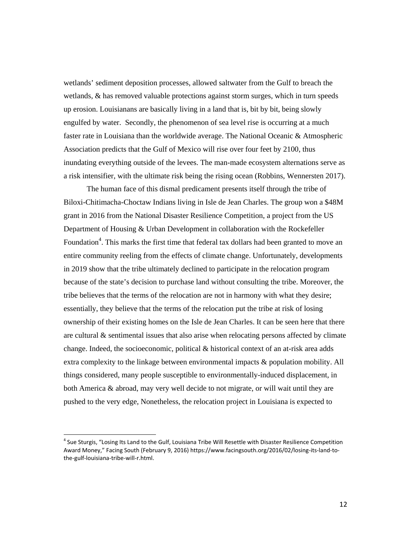wetlands' sediment deposition processes, allowed saltwater from the Gulf to breach the wetlands, & has removed valuable protections against storm surges, which in turn speeds up erosion. Louisianans are basically living in a land that is, bit by bit, being slowly engulfed by water. Secondly, the phenomenon of sea level rise is occurring at a much faster rate in Louisiana than the worldwide average. The National Oceanic & Atmospheric Association predicts that the Gulf of Mexico will rise over four feet by 2100, thus inundating everything outside of the levees. The man-made ecosystem alternations serve as a risk intensifier, with the ultimate risk being the rising ocean (Robbins, Wennersten 2017).

The human face of this dismal predicament presents itself through the tribe of Biloxi-Chitimacha-Choctaw Indians living in Isle de Jean Charles. The group won a \$48M grant in 2016 from the National Disaster Resilience Competition, a project from the US Department of Housing & Urban Development in collaboration with the Rockefeller Foundation<sup>4</sup>. This marks the first time that federal tax dollars had been granted to move an entire community reeling from the effects of climate change. Unfortunately, developments in 2019 show that the tribe ultimately declined to participate in the relocation program because of the state's decision to purchase land without consulting the tribe. Moreover, the tribe believes that the terms of the relocation are not in harmony with what they desire; essentially, they believe that the terms of the relocation put the tribe at risk of losing ownership of their existing homes on the Isle de Jean Charles. It can be seen here that there are cultural  $\&$  sentimental issues that also arise when relocating persons affected by climate change. Indeed, the socioeconomic, political & historical context of an at-risk area adds extra complexity to the linkage between environmental impacts & population mobility. All things considered, many people susceptible to environmentally-induced displacement, in both America & abroad, may very well decide to not migrate, or will wait until they are pushed to the very edge, Nonetheless, the relocation project in Louisiana is expected to

<sup>&</sup>lt;sup>4</sup> Sue Sturgis, "Losing Its Land to the Gulf, Louisiana Tribe Will Resettle with Disaster Resilience Competition Award Money," Facing South (February 9, 2016) https://www.facingsouth.org/2016/02/losing‐its‐land‐to‐ the‐gulf‐louisiana‐tribe‐will‐r.html.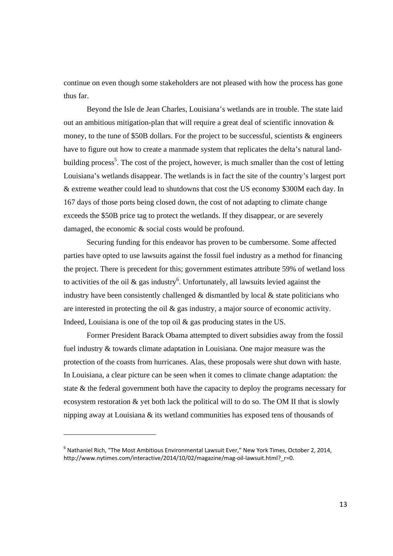continue on even though some stakeholders are not pleased with how the process has gone thus far.

Beyond the Isle de Jean Charles, Louisiana's wetlands are in trouble. The state laid out an ambitious mitigation-plan that will require a great deal of scientific innovation & money, to the tune of  $$50B$  dollars. For the project to be successful, scientists  $\&$  engineers have to figure out how to create a manmade system that replicates the delta's natural landbuilding process<sup>5</sup>. The cost of the project, however, is much smaller than the cost of letting Louisiana's wetlands disappear. The wetlands is in fact the site of the country's largest port & extreme weather could lead to shutdowns that cost the US economy \$300M each day. In 167 days of those ports being closed down, the cost of not adapting to climate change exceeds the \$50B price tag to protect the wetlands. If they disappear, or are severely damaged, the economic & social costs would be profound.

Securing funding for this endeavor has proven to be cumbersome. Some affected parties have opted to use lawsuits against the fossil fuel industry as a method for financing the project. There is precedent for this; government estimates attribute 59% of wetland loss to activities of the oil  $\&$  gas industry<sup>6</sup>. Unfortunately, all lawsuits levied against the industry have been consistently challenged  $\&$  dismantled by local  $\&$  state politicians who are interested in protecting the oil  $\&$  gas industry, a major source of economic activity. Indeed, Louisiana is one of the top oil & gas producing states in the US.

Former President Barack Obama attempted to divert subsidies away from the fossil fuel industry & towards climate adaptation in Louisiana. One major measure was the protection of the coasts from hurricanes. Alas, these proposals were shut down with haste. In Louisiana, a clear picture can be seen when it comes to climate change adaptation: the state & the federal government both have the capacity to deploy the programs necessary for ecosystem restoration  $\&$  yet both lack the political will to do so. The OM II that is slowly nipping away at Louisiana & its wetland communities has exposed tens of thousands of

 $6$  Nathaniel Rich, "The Most Ambitious Environmental Lawsuit Ever," New York Times, October 2, 2014, http://www.nytimes.com/interactive/2014/10/02/magazine/mag-oil-lawsuit.html? r=0.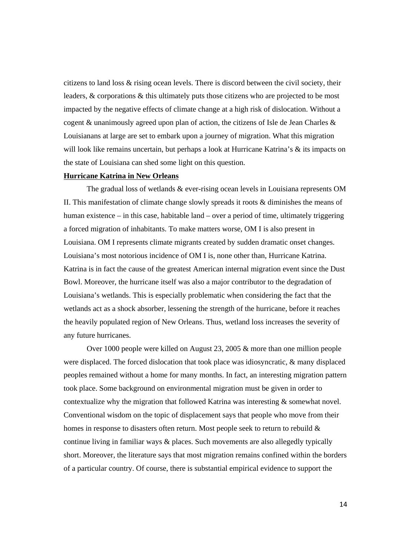citizens to land loss & rising ocean levels. There is discord between the civil society, their leaders, & corporations & this ultimately puts those citizens who are projected to be most impacted by the negative effects of climate change at a high risk of dislocation. Without a cogent  $\&$  unanimously agreed upon plan of action, the citizens of Isle de Jean Charles  $\&$ Louisianans at large are set to embark upon a journey of migration. What this migration will look like remains uncertain, but perhaps a look at Hurricane Katrina's & its impacts on the state of Louisiana can shed some light on this question.

#### **Hurricane Katrina in New Orleans**

The gradual loss of wetlands & ever-rising ocean levels in Louisiana represents OM II. This manifestation of climate change slowly spreads it roots & diminishes the means of human existence – in this case, habitable land – over a period of time, ultimately triggering a forced migration of inhabitants. To make matters worse, OM I is also present in Louisiana. OM I represents climate migrants created by sudden dramatic onset changes. Louisiana's most notorious incidence of OM I is, none other than, Hurricane Katrina. Katrina is in fact the cause of the greatest American internal migration event since the Dust Bowl. Moreover, the hurricane itself was also a major contributor to the degradation of Louisiana's wetlands. This is especially problematic when considering the fact that the wetlands act as a shock absorber, lessening the strength of the hurricane, before it reaches the heavily populated region of New Orleans. Thus, wetland loss increases the severity of any future hurricanes.

Over 1000 people were killed on August 23, 2005 & more than one million people were displaced. The forced dislocation that took place was idiosyncratic, & many displaced peoples remained without a home for many months. In fact, an interesting migration pattern took place. Some background on environmental migration must be given in order to contextualize why the migration that followed Katrina was interesting & somewhat novel. Conventional wisdom on the topic of displacement says that people who move from their homes in response to disasters often return. Most people seek to return to rebuild  $\&$ continue living in familiar ways & places. Such movements are also allegedly typically short. Moreover, the literature says that most migration remains confined within the borders of a particular country. Of course, there is substantial empirical evidence to support the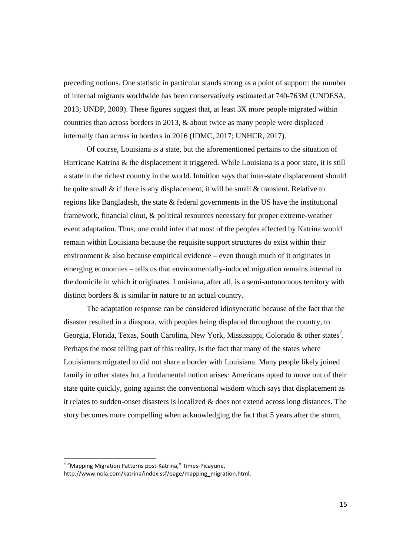preceding notions. One statistic in particular stands strong as a point of support: the number of internal migrants worldwide has been conservatively estimated at 740-763M (UNDESA, 2013; UNDP, 2009). These figures suggest that, at least 3X more people migrated within countries than across borders in 2013, & about twice as many people were displaced internally than across in borders in 2016 (IDMC, 2017; UNHCR, 2017).

Of course, Louisiana is a state, but the aforementioned pertains to the situation of Hurricane Katrina & the displacement it triggered. While Louisiana is a poor state, it is still a state in the richest country in the world. Intuition says that inter-state displacement should be quite small & if there is any displacement, it will be small & transient. Relative to regions like Bangladesh, the state & federal governments in the US have the institutional framework, financial clout, & political resources necessary for proper extreme-weather event adaptation. Thus, one could infer that most of the peoples affected by Katrina would remain within Louisiana because the requisite support structures do exist within their environment & also because empirical evidence – even though much of it originates in emerging economies – tells us that environmentally-induced migration remains internal to the domicile in which it originates. Louisiana, after all, is a semi-autonomous territory with distinct borders & is similar in nature to an actual country.

The adaptation response can be considered idiosyncratic because of the fact that the disaster resulted in a diaspora, with peoples being displaced throughout the country, to Georgia, Florida, Texas, South Carolina, New York, Mississippi, Colorado & other states<sup>7</sup>. Perhaps the most telling part of this reality, is the fact that many of the states where Louisianans migrated to did not share a border with Louisiana. Many people likely joined family in other states but a fundamental notion arises: Americans opted to move out of their state quite quickly, going against the conventional wisdom which says that displacement as it relates to sudden-onset disasters is localized  $\&$  does not extend across long distances. The story becomes more compelling when acknowledging the fact that 5 years after the storm,

 $7$  "Mapping Migration Patterns post-Katrina," Times-Picayune,

http://www.nola.com/katrina/index.ssf/page/mapping\_migration.html.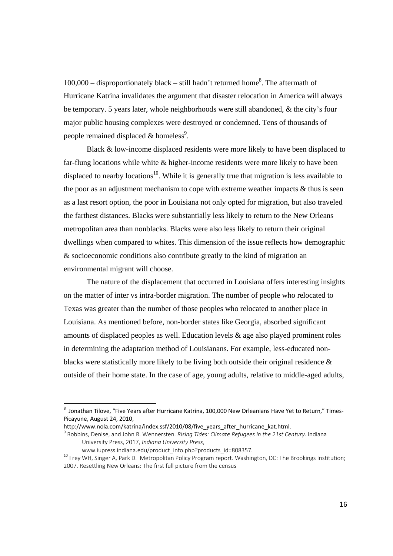$100,000$  – disproportionately black – still hadn't returned home<sup>8</sup>. The aftermath of Hurricane Katrina invalidates the argument that disaster relocation in America will always be temporary. 5 years later, whole neighborhoods were still abandoned, & the city's four major public housing complexes were destroyed or condemned. Tens of thousands of people remained displaced  $&$  homeless<sup>9</sup>.

Black & low-income displaced residents were more likely to have been displaced to far-flung locations while white  $\&$  higher-income residents were more likely to have been displaced to nearby locations<sup>10</sup>. While it is generally true that migration is less available to the poor as an adjustment mechanism to cope with extreme weather impacts  $\&$  thus is seen as a last resort option, the poor in Louisiana not only opted for migration, but also traveled the farthest distances. Blacks were substantially less likely to return to the New Orleans metropolitan area than nonblacks. Blacks were also less likely to return their original dwellings when compared to whites. This dimension of the issue reflects how demographic & socioeconomic conditions also contribute greatly to the kind of migration an environmental migrant will choose.

The nature of the displacement that occurred in Louisiana offers interesting insights on the matter of inter vs intra-border migration. The number of people who relocated to Texas was greater than the number of those peoples who relocated to another place in Louisiana. As mentioned before, non-border states like Georgia, absorbed significant amounts of displaced peoples as well. Education levels & age also played prominent roles in determining the adaptation method of Louisianans. For example, less-educated nonblacks were statistically more likely to be living both outside their original residence & outside of their home state. In the case of age, young adults, relative to middle-aged adults,

 $^8$  Jonathan Tilove, "Five Years after Hurricane Katrina, 100,000 New Orleanians Have Yet to Return," Times-Picayune, August 24, 2010,

http://www.nola.com/katrina/index.ssf/2010/08/five\_years\_after\_hurricane\_kat.html. <sup>9</sup> Robbins, Denise, and John R. Wennersten. *Rising Tides: Climate Refugees in the 21st Century*. Indiana

University Press, 2017, *Indiana University Press*,

<sup>&</sup>lt;sup>10</sup> Frey WH, Singer A, Park D. Metropolitan Policy Program report. Washington, DC: The Brookings Institution; 2007. Resettling New Orleans: The first full picture from the census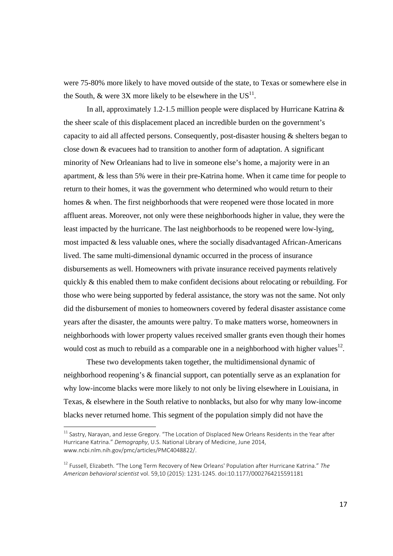were 75-80% more likely to have moved outside of the state, to Texas or somewhere else in the South, & were 3X more likely to be elsewhere in the  $US<sup>11</sup>$ .

In all, approximately 1.2-1.5 million people were displaced by Hurricane Katrina  $\&$ the sheer scale of this displacement placed an incredible burden on the government's capacity to aid all affected persons. Consequently, post-disaster housing  $\&$  shelters began to close down & evacuees had to transition to another form of adaptation. A significant minority of New Orleanians had to live in someone else's home, a majority were in an apartment, & less than 5% were in their pre-Katrina home. When it came time for people to return to their homes, it was the government who determined who would return to their homes & when. The first neighborhoods that were reopened were those located in more affluent areas. Moreover, not only were these neighborhoods higher in value, they were the least impacted by the hurricane. The last neighborhoods to be reopened were low-lying, most impacted & less valuable ones, where the socially disadvantaged African-Americans lived. The same multi-dimensional dynamic occurred in the process of insurance disbursements as well. Homeowners with private insurance received payments relatively quickly & this enabled them to make confident decisions about relocating or rebuilding. For those who were being supported by federal assistance, the story was not the same. Not only did the disbursement of monies to homeowners covered by federal disaster assistance come years after the disaster, the amounts were paltry. To make matters worse, homeowners in neighborhoods with lower property values received smaller grants even though their homes would cost as much to rebuild as a comparable one in a neighborhood with higher values<sup>12</sup>.

These two developments taken together, the multidimensional dynamic of neighborhood reopening's & financial support, can potentially serve as an explanation for why low-income blacks were more likely to not only be living elsewhere in Louisiana, in Texas, & elsewhere in the South relative to nonblacks, but also for why many low-income blacks never returned home. This segment of the population simply did not have the

 $^{\rm 11}$  Sastry, Narayan, and Jesse Gregory. "The Location of Displaced New Orleans Residents in the Year after Hurricane Katrina." *Demography*, U.S. National Library of Medicine, June 2014, www.ncbi.nlm.nih.gov/pmc/articles/PMC4048822/.

<sup>12</sup> Fussell, Elizabeth. "The Long Term Recovery of New Orleans' Population after Hurricane Katrina." *The American behavioral scientist* vol. 59,10 (2015): 1231‐1245. doi:10.1177/0002764215591181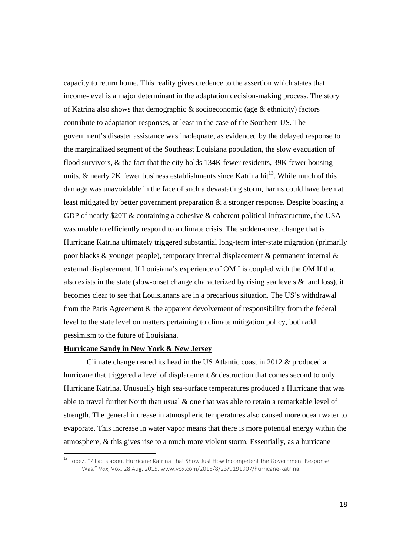capacity to return home. This reality gives credence to the assertion which states that income-level is a major determinant in the adaptation decision-making process. The story of Katrina also shows that demographic  $\&$  socioeconomic (age  $\&$  ethnicity) factors contribute to adaptation responses, at least in the case of the Southern US. The government's disaster assistance was inadequate, as evidenced by the delayed response to the marginalized segment of the Southeast Louisiana population, the slow evacuation of flood survivors, & the fact that the city holds 134K fewer residents, 39K fewer housing units, & nearly 2K fewer business establishments since Katrina hit<sup>13</sup>. While much of this damage was unavoidable in the face of such a devastating storm, harms could have been at least mitigated by better government preparation & a stronger response. Despite boasting a GDP of nearly \$20T & containing a cohesive & coherent political infrastructure, the USA was unable to efficiently respond to a climate crisis. The sudden-onset change that is Hurricane Katrina ultimately triggered substantial long-term inter-state migration (primarily poor blacks & younger people), temporary internal displacement & permanent internal & external displacement. If Louisiana's experience of OM I is coupled with the OM II that also exists in the state (slow-onset change characterized by rising sea levels & land loss), it becomes clear to see that Louisianans are in a precarious situation. The US's withdrawal from the Paris Agreement & the apparent devolvement of responsibility from the federal level to the state level on matters pertaining to climate mitigation policy, both add pessimism to the future of Louisiana.

#### **Hurricane Sandy in New York & New Jersey**

Climate change reared its head in the US Atlantic coast in 2012 & produced a hurricane that triggered a level of displacement & destruction that comes second to only Hurricane Katrina. Unusually high sea-surface temperatures produced a Hurricane that was able to travel further North than usual  $\&$  one that was able to retain a remarkable level of strength. The general increase in atmospheric temperatures also caused more ocean water to evaporate. This increase in water vapor means that there is more potential energy within the atmosphere, & this gives rise to a much more violent storm. Essentially, as a hurricane

<sup>&</sup>lt;sup>13</sup> Lopez. "7 Facts about Hurricane Katrina That Show Just How Incompetent the Government Response Was." *Vox*, Vox, 28 Aug. 2015, www.vox.com/2015/8/23/9191907/hurricane‐katrina.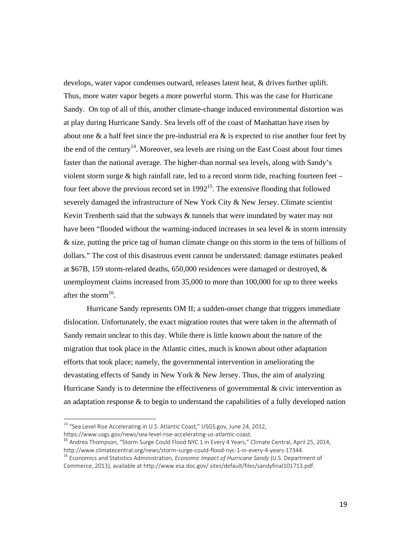develops, water vapor condenses outward, releases latent heat, & drives further uplift. Thus, more water vapor begets a more powerful storm. This was the case for Hurricane Sandy. On top of all of this, another climate-change induced environmental distortion was at play during Hurricane Sandy. Sea levels off of the coast of Manhattan have risen by about one & a half feet since the pre-industrial era & is expected to rise another four feet by the end of the century<sup>14</sup>. Moreover, sea levels are rising on the East Coast about four times faster than the national average. The higher-than normal sea levels, along with Sandy's violent storm surge & high rainfall rate, led to a record storm tide, reaching fourteen feet – four feet above the previous record set in  $1992^{15}$ . The extensive flooding that followed severely damaged the infrastructure of New York City & New Jersey. Climate scientist Kevin Trenberth said that the subways & tunnels that were inundated by water may not have been "flooded without the warming-induced increases in sea level & in storm intensity & size, putting the price tag of human climate change on this storm in the tens of billions of dollars." The cost of this disastrous event cannot be understated: damage estimates peaked at \$67B, 159 storm-related deaths, 650,000 residences were damaged or destroyed, & unemployment claims increased from 35,000 to more than 100,000 for up to three weeks after the storm $^{16}$ .

Hurricane Sandy represents OM II; a sudden-onset change that triggers immediate dislocation. Unfortunately, the exact migration routes that were taken in the aftermath of Sandy remain unclear to this day. While there is little known about the nature of the migration that took place in the Atlantic cities, much is known about other adaptation efforts that took place; namely, the governmental intervention in ameliorating the devastating effects of Sandy in New York & New Jersey. Thus, the aim of analyzing Hurricane Sandy is to determine the effectiveness of governmental & civic intervention as an adaptation response  $\&$  to begin to understand the capabilities of a fully developed nation

 $^{14}$  "Sea Level Rise Accelerating in U.S. Atlantic Coast," USGS.gov, June 24, 2012,

https://www.usgs.gov/news/sea-level-rise-accelerating-us-atlantic-coast.<br><sup>15</sup> Andrea Thompson, "Storm Surge Could Flood NYC 1 in Every 4 Years," Climate Central, April 25, 2014,<br>http://www.climatecentral.org/news/storm-sur

<sup>&</sup>lt;sup>16</sup> Economics and Statistics Administration, *Economic Impact of Hurricane Sandy* (U.S. Department of Commerce, 2013), available at http://www.esa.doc.gov/ sites/default/files/sandyfinal101713.pdf.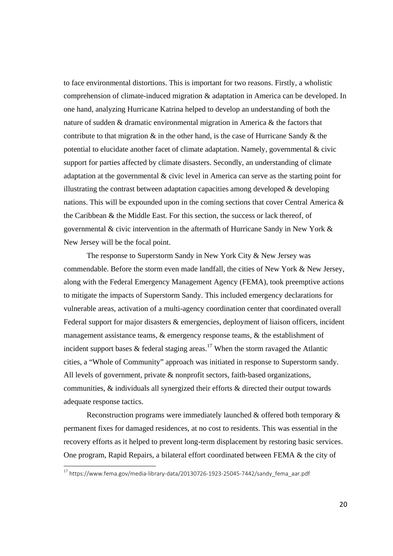to face environmental distortions. This is important for two reasons. Firstly, a wholistic comprehension of climate-induced migration & adaptation in America can be developed. In one hand, analyzing Hurricane Katrina helped to develop an understanding of both the nature of sudden & dramatic environmental migration in America & the factors that contribute to that migration  $\&$  in the other hand, is the case of Hurricane Sandy  $\&$  the potential to elucidate another facet of climate adaptation. Namely, governmental & civic support for parties affected by climate disasters. Secondly, an understanding of climate adaptation at the governmental & civic level in America can serve as the starting point for illustrating the contrast between adaptation capacities among developed  $\&$  developing nations. This will be expounded upon in the coming sections that cover Central America & the Caribbean & the Middle East. For this section, the success or lack thereof, of governmental & civic intervention in the aftermath of Hurricane Sandy in New York & New Jersey will be the focal point.

The response to Superstorm Sandy in New York City & New Jersey was commendable. Before the storm even made landfall, the cities of New York & New Jersey, along with the Federal Emergency Management Agency (FEMA), took preemptive actions to mitigate the impacts of Superstorm Sandy. This included emergency declarations for vulnerable areas, activation of a multi-agency coordination center that coordinated overall Federal support for major disasters & emergencies, deployment of liaison officers, incident management assistance teams, & emergency response teams, & the establishment of incident support bases  $\&$  federal staging areas.<sup>17</sup> When the storm ravaged the Atlantic cities, a "Whole of Community" approach was initiated in response to Superstorm sandy. All levels of government, private & nonprofit sectors, faith-based organizations, communities,  $\&$  individuals all synergized their efforts  $\&$  directed their output towards adequate response tactics.

Reconstruction programs were immediately launched & offered both temporary & permanent fixes for damaged residences, at no cost to residents. This was essential in the recovery efforts as it helped to prevent long-term displacement by restoring basic services. One program, Rapid Repairs, a bilateral effort coordinated between FEMA & the city of

 $^{17}$  https://www.fema.gov/media-library-data/20130726-1923-25045-7442/sandy\_fema\_aar.pdf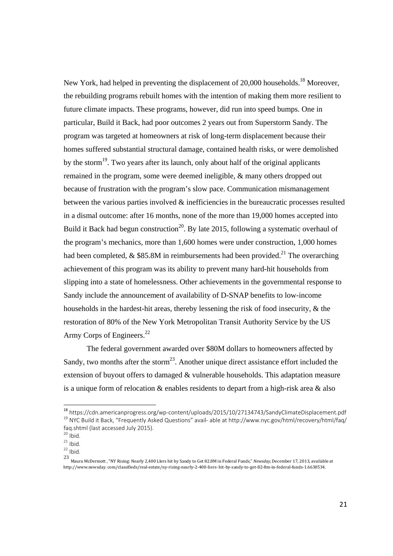New York, had helped in preventing the displacement of 20,000 households.<sup>18</sup> Moreover, the rebuilding programs rebuilt homes with the intention of making them more resilient to future climate impacts. These programs, however, did run into speed bumps. One in particular, Build it Back, had poor outcomes 2 years out from Superstorm Sandy. The program was targeted at homeowners at risk of long-term displacement because their homes suffered substantial structural damage, contained health risks, or were demolished by the storm<sup>19</sup>. Two years after its launch, only about half of the original applicants remained in the program, some were deemed ineligible, & many others dropped out because of frustration with the program's slow pace. Communication mismanagement between the various parties involved & inefficiencies in the bureaucratic processes resulted in a dismal outcome: after 16 months, none of the more than 19,000 homes accepted into Build it Back had begun construction<sup>20</sup>. By late 2015, following a systematic overhaul of the program's mechanics, more than 1,600 homes were under construction, 1,000 homes had been completed, & \$85.8M in reimbursements had been provided.<sup>21</sup> The overarching achievement of this program was its ability to prevent many hard-hit households from slipping into a state of homelessness. Other achievements in the governmental response to Sandy include the announcement of availability of D-SNAP benefits to low-income households in the hardest-hit areas, thereby lessening the risk of food insecurity, & the restoration of 80% of the New York Metropolitan Transit Authority Service by the US Army Corps of Engineers.<sup>22</sup>

The federal government awarded over \$80M dollars to homeowners affected by Sandy, two months after the storm<sup>23</sup>. Another unique direct assistance effort included the extension of buyout offers to damaged & vulnerable households. This adaptation measure is a unique form of relocation & enables residents to depart from a high-risk area & also

<sup>&</sup>lt;sup>18</sup> https://cdn.americanprogress.org/wp-content/uploads/2015/10/27134743/SandyClimateDisplacement.pdf<br><sup>19</sup> NYC Build it Back, "Frequently Asked Questions" avail- able at http://www.nyc.gov/html/recovery/html/faq/ faq.shtml (last accessed July 2015).<br>
<sup>20</sup> Ibid.<br>
<sup>21</sup> Ibid.<br>
<sup>22</sup> Ibid.

<sup>23&</sup>lt;br>Maura McDermott , "NY Rising: Nearly 2,400 LIers hit by Sandy to Get 82.8M in Federal Funds," *Newsday,* December 17, 2013, available at http://www.newsday. com/classifieds/real‐estate/ny‐rising‐nearly‐2‐400‐liers‐ hit‐by‐sandy‐to‐get‐82‐8m‐in‐federal‐funds‐1.6630534.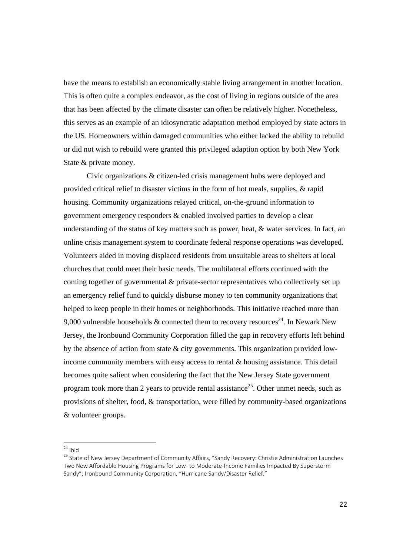have the means to establish an economically stable living arrangement in another location. This is often quite a complex endeavor, as the cost of living in regions outside of the area that has been affected by the climate disaster can often be relatively higher. Nonetheless, this serves as an example of an idiosyncratic adaptation method employed by state actors in the US. Homeowners within damaged communities who either lacked the ability to rebuild or did not wish to rebuild were granted this privileged adaption option by both New York State & private money.

Civic organizations & citizen-led crisis management hubs were deployed and provided critical relief to disaster victims in the form of hot meals, supplies, & rapid housing. Community organizations relayed critical, on-the-ground information to government emergency responders & enabled involved parties to develop a clear understanding of the status of key matters such as power, heat, & water services. In fact, an online crisis management system to coordinate federal response operations was developed. Volunteers aided in moving displaced residents from unsuitable areas to shelters at local churches that could meet their basic needs. The multilateral efforts continued with the coming together of governmental & private-sector representatives who collectively set up an emergency relief fund to quickly disburse money to ten community organizations that helped to keep people in their homes or neighborhoods. This initiative reached more than 9,000 vulnerable households & connected them to recovery resources<sup>24</sup>. In Newark New Jersey, the Ironbound Community Corporation filled the gap in recovery efforts left behind by the absence of action from state & city governments. This organization provided lowincome community members with easy access to rental & housing assistance. This detail becomes quite salient when considering the fact that the New Jersey State government program took more than 2 years to provide rental assistance<sup>25</sup>. Other unmet needs, such as provisions of shelter, food, & transportation, were filled by community-based organizations & volunteer groups.

 $24$  Ihid

<sup>&</sup>lt;sup>25</sup> State of New Jersey Department of Community Affairs, "Sandy Recovery: Christie Administration Launches Two New Affordable Housing Programs for Low‐ to Moderate‐Income Families Impacted By Superstorm Sandy"; Ironbound Community Corporation, "Hurricane Sandy/Disaster Relief."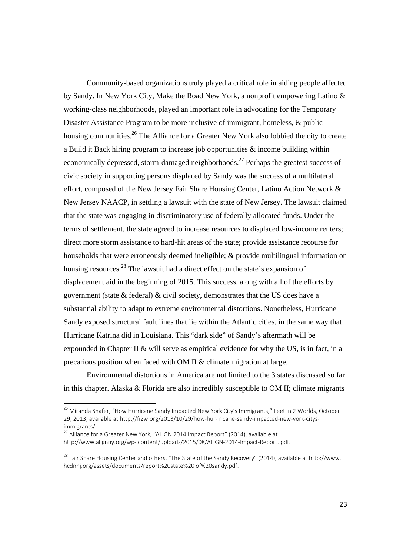Community-based organizations truly played a critical role in aiding people affected by Sandy. In New York City, Make the Road New York, a nonprofit empowering Latino & working-class neighborhoods, played an important role in advocating for the Temporary Disaster Assistance Program to be more inclusive of immigrant, homeless, & public housing communities.<sup>26</sup> The Alliance for a Greater New York also lobbied the city to create a Build it Back hiring program to increase job opportunities & income building within economically depressed, storm-damaged neighborhoods.<sup>27</sup> Perhaps the greatest success of civic society in supporting persons displaced by Sandy was the success of a multilateral effort, composed of the New Jersey Fair Share Housing Center, Latino Action Network & New Jersey NAACP, in settling a lawsuit with the state of New Jersey. The lawsuit claimed that the state was engaging in discriminatory use of federally allocated funds. Under the terms of settlement, the state agreed to increase resources to displaced low-income renters; direct more storm assistance to hard-hit areas of the state; provide assistance recourse for households that were erroneously deemed ineligible; & provide multilingual information on housing resources.<sup>28</sup> The lawsuit had a direct effect on the state's expansion of displacement aid in the beginning of 2015. This success, along with all of the efforts by government (state & federal) & civil society, demonstrates that the US does have a substantial ability to adapt to extreme environmental distortions. Nonetheless, Hurricane Sandy exposed structural fault lines that lie within the Atlantic cities, in the same way that Hurricane Katrina did in Louisiana. This "dark side" of Sandy's aftermath will be expounded in Chapter II & will serve as empirical evidence for why the US, is in fact, in a precarious position when faced with OM II & climate migration at large.

Environmental distortions in America are not limited to the 3 states discussed so far in this chapter. Alaska & Florida are also incredibly susceptible to OM II; climate migrants

<sup>&</sup>lt;sup>26</sup> Miranda Shafer, "How Hurricane Sandy Impacted New York City's Immigrants," Feet in 2 Worlds, October 29, 2013, available at http://fi2w.org/2013/10/29/how-hur- ricane-sandy-impacted-new-york-citys-

immigrants/.<br> $27$  Alliance for a Greater New York, "ALIGN 2014 Impact Report" (2014), available at http://www.alignny.org/wp‐ content/uploads/2015/08/ALIGN‐2014‐Impact‐Report. pdf.

<sup>&</sup>lt;sup>28</sup> Fair Share Housing Center and others, "The State of the Sandy Recovery" (2014), available at http://www. hcdnnj.org/assets/documents/report%20state%20 of%20sandy.pdf.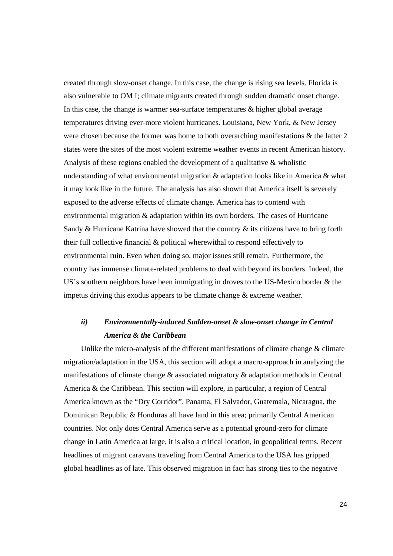created through slow-onset change. In this case, the change is rising sea levels. Florida is also vulnerable to OM I; climate migrants created through sudden dramatic onset change. In this case, the change is warmer sea-surface temperatures & higher global average temperatures driving ever-more violent hurricanes. Louisiana, New York, & New Jersey were chosen because the former was home to both overarching manifestations & the latter 2 states were the sites of the most violent extreme weather events in recent American history. Analysis of these regions enabled the development of a qualitative & wholistic understanding of what environmental migration  $\&$  adaptation looks like in America  $\&$  what it may look like in the future. The analysis has also shown that America itself is severely exposed to the adverse effects of climate change. America has to contend with environmental migration & adaptation within its own borders. The cases of Hurricane Sandy & Hurricane Katrina have showed that the country & its citizens have to bring forth their full collective financial & political wherewithal to respond effectively to environmental ruin. Even when doing so, major issues still remain. Furthermore, the country has immense climate-related problems to deal with beyond its borders. Indeed, the US's southern neighbors have been immigrating in droves to the US-Mexico border & the impetus driving this exodus appears to be climate change & extreme weather.

## *ii) Environmentally-induced Sudden-onset & slow-onset change in Central America & the Caribbean*

Unlike the micro-analysis of the different manifestations of climate change & climate migration/adaptation in the USA, this section will adopt a macro-approach in analyzing the manifestations of climate change & associated migratory & adaptation methods in Central America & the Caribbean. This section will explore, in particular, a region of Central America known as the "Dry Corridor". Panama, El Salvador, Guatemala, Nicaragua, the Dominican Republic & Honduras all have land in this area; primarily Central American countries. Not only does Central America serve as a potential ground-zero for climate change in Latin America at large, it is also a critical location, in geopolitical terms. Recent headlines of migrant caravans traveling from Central America to the USA has gripped global headlines as of late. This observed migration in fact has strong ties to the negative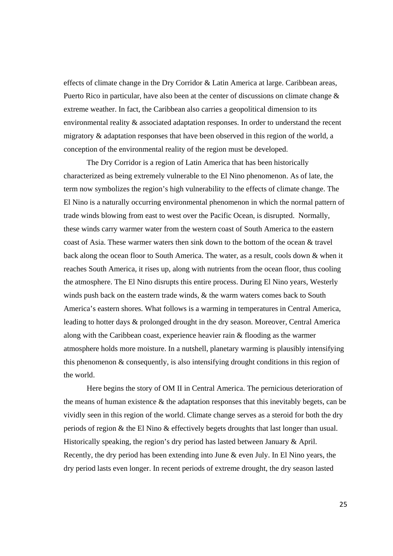effects of climate change in the Dry Corridor & Latin America at large. Caribbean areas, Puerto Rico in particular, have also been at the center of discussions on climate change & extreme weather. In fact, the Caribbean also carries a geopolitical dimension to its environmental reality & associated adaptation responses. In order to understand the recent migratory & adaptation responses that have been observed in this region of the world, a conception of the environmental reality of the region must be developed.

 The Dry Corridor is a region of Latin America that has been historically characterized as being extremely vulnerable to the El Nino phenomenon. As of late, the term now symbolizes the region's high vulnerability to the effects of climate change. The El Nino is a naturally occurring environmental phenomenon in which the normal pattern of trade winds blowing from east to west over the Pacific Ocean, is disrupted. Normally, these winds carry warmer water from the western coast of South America to the eastern coast of Asia. These warmer waters then sink down to the bottom of the ocean & travel back along the ocean floor to South America. The water, as a result, cools down & when it reaches South America, it rises up, along with nutrients from the ocean floor, thus cooling the atmosphere. The El Nino disrupts this entire process. During El Nino years, Westerly winds push back on the eastern trade winds, & the warm waters comes back to South America's eastern shores. What follows is a warming in temperatures in Central America, leading to hotter days & prolonged drought in the dry season. Moreover, Central America along with the Caribbean coast, experience heavier rain & flooding as the warmer atmosphere holds more moisture. In a nutshell, planetary warming is plausibly intensifying this phenomenon & consequently, is also intensifying drought conditions in this region of the world.

 Here begins the story of OM II in Central America. The pernicious deterioration of the means of human existence  $\&$  the adaptation responses that this inevitably begets, can be vividly seen in this region of the world. Climate change serves as a steroid for both the dry periods of region & the El Nino & effectively begets droughts that last longer than usual. Historically speaking, the region's dry period has lasted between January & April. Recently, the dry period has been extending into June & even July. In El Nino years, the dry period lasts even longer. In recent periods of extreme drought, the dry season lasted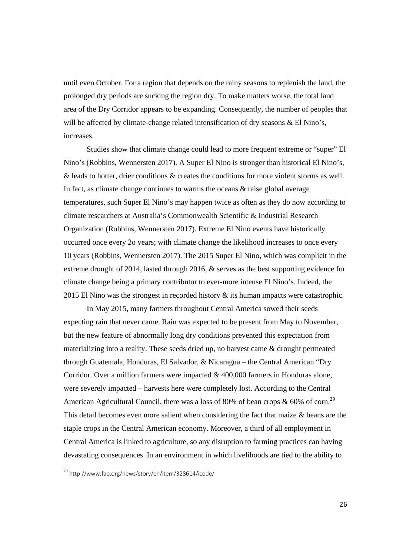until even October. For a region that depends on the rainy seasons to replenish the land, the prolonged dry periods are sucking the region dry. To make matters worse, the total land area of the Dry Corridor appears to be expanding. Consequently, the number of peoples that will be affected by climate-change related intensification of dry seasons & El Nino's, increases.

 Studies show that climate change could lead to more frequent extreme or "super" El Nino's (Robbins, Wennersten 2017). A Super El Nino is stronger than historical El Nino's, & leads to hotter, drier conditions & creates the conditions for more violent storms as well. In fact, as climate change continues to warms the oceans & raise global average temperatures, such Super El Nino's may happen twice as often as they do now according to climate researchers at Australia's Commonwealth Scientific & Industrial Research Organization (Robbins, Wennersten 2017). Extreme El Nino events have historically occurred once every 2o years; with climate change the likelihood increases to once every 10 years (Robbins, Wennersten 2017). The 2015 Super El Nino, which was complicit in the extreme drought of 2014, lasted through 2016, & serves as the best supporting evidence for climate change being a primary contributor to ever-more intense El Nino's. Indeed, the 2015 El Nino was the strongest in recorded history & its human impacts were catastrophic.

 In May 2015, many farmers throughout Central America sowed their seeds expecting rain that never came. Rain was expected to be present from May to November, but the new feature of abnormally long dry conditions prevented this expectation from materializing into a reality. These seeds dried up, no harvest came & drought permeated through Guatemala, Honduras, El Salvador, & Nicaragua – the Central American "Dry Corridor. Over a million farmers were impacted & 400,000 farmers in Honduras alone, were severely impacted – harvests here were completely lost. According to the Central American Agricultural Council, there was a loss of 80% of bean crops  $\&$  60% of corn.<sup>29</sup> This detail becomes even more salient when considering the fact that maize & beans are the staple crops in the Central American economy. Moreover, a third of all employment in Central America is linked to agriculture, so any disruption to farming practices can having devastating consequences. In an environment in which livelihoods are tied to the ability to

<sup>29</sup> http://www.fao.org/news/story/en/item/328614/icode/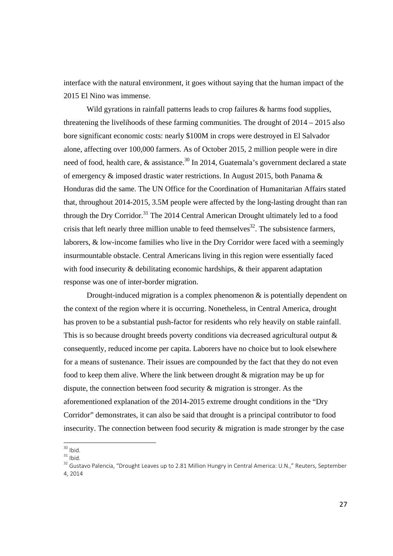interface with the natural environment, it goes without saying that the human impact of the 2015 El Nino was immense.

Wild gyrations in rainfall patterns leads to crop failures & harms food supplies, threatening the livelihoods of these farming communities. The drought of 2014 – 2015 also bore significant economic costs: nearly \$100M in crops were destroyed in El Salvador alone, affecting over 100,000 farmers. As of October 2015, 2 million people were in dire need of food, health care,  $\&$  assistance.<sup>30</sup> In 2014, Guatemala's government declared a state of emergency & imposed drastic water restrictions. In August 2015, both Panama & Honduras did the same. The UN Office for the Coordination of Humanitarian Affairs stated that, throughout 2014-2015, 3.5M people were affected by the long-lasting drought than ran through the Dry Corridor.<sup>31</sup> The 2014 Central American Drought ultimately led to a food crisis that left nearly three million unable to feed themselves<sup>32</sup>. The subsistence farmers, laborers, & low-income families who live in the Dry Corridor were faced with a seemingly insurmountable obstacle. Central Americans living in this region were essentially faced with food insecurity & debilitating economic hardships, & their apparent adaptation response was one of inter-border migration.

Drought-induced migration is a complex phenomenon  $\&$  is potentially dependent on the context of the region where it is occurring. Nonetheless, in Central America, drought has proven to be a substantial push-factor for residents who rely heavily on stable rainfall. This is so because drought breeds poverty conditions via decreased agricultural output  $\&$ consequently, reduced income per capita. Laborers have no choice but to look elsewhere for a means of sustenance. Their issues are compounded by the fact that they do not even food to keep them alive. Where the link between drought & migration may be up for dispute, the connection between food security & migration is stronger. As the aforementioned explanation of the 2014-2015 extreme drought conditions in the "Dry Corridor" demonstrates, it can also be said that drought is a principal contributor to food insecurity. The connection between food security & migration is made stronger by the case

 $30$  Ihid.

 $31$  Ibid.<br><sup>32</sup> Gustavo Palencia, "Drought Leaves up to 2.81 Million Hungry in Central America: U.N.," Reuters, September 4, 2014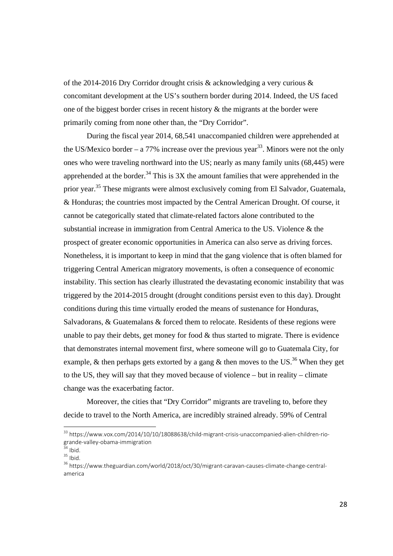of the 2014-2016 Dry Corridor drought crisis & acknowledging a very curious & concomitant development at the US's southern border during 2014. Indeed, the US faced one of the biggest border crises in recent history & the migrants at the border were primarily coming from none other than, the "Dry Corridor".

 During the fiscal year 2014, 68,541 unaccompanied children were apprehended at the US/Mexico border – a 77% increase over the previous year<sup>33</sup>. Minors were not the only ones who were traveling northward into the US; nearly as many family units (68,445) were apprehended at the border.<sup>34</sup> This is  $3X$  the amount families that were apprehended in the prior year.35 These migrants were almost exclusively coming from El Salvador, Guatemala, & Honduras; the countries most impacted by the Central American Drought. Of course, it cannot be categorically stated that climate-related factors alone contributed to the substantial increase in immigration from Central America to the US. Violence & the prospect of greater economic opportunities in America can also serve as driving forces. Nonetheless, it is important to keep in mind that the gang violence that is often blamed for triggering Central American migratory movements, is often a consequence of economic instability. This section has clearly illustrated the devastating economic instability that was triggered by the 2014-2015 drought (drought conditions persist even to this day). Drought conditions during this time virtually eroded the means of sustenance for Honduras, Salvadorans, & Guatemalans & forced them to relocate. Residents of these regions were unable to pay their debts, get money for food  $&$  thus started to migrate. There is evidence that demonstrates internal movement first, where someone will go to Guatemala City, for example,  $\&$  then perhaps gets extorted by a gang  $\&$  then moves to the US.<sup>36</sup> When they get to the US, they will say that they moved because of violence – but in reality – climate change was the exacerbating factor.

Moreover, the cities that "Dry Corridor" migrants are traveling to, before they decide to travel to the North America, are incredibly strained already. 59% of Central

<sup>&</sup>lt;sup>33</sup> https://www.vox.com/2014/10/10/18088638/child-migrant-crisis-unaccompanied-alien-children-riogrande‐valley‐obama‐immigration<br><sup>34</sup> Ibid.<br><sup>35</sup> Ibid. 35 Ibid. 2018/oct/30/migrant‐caravan‐causes‐climate‐change‐central‐

america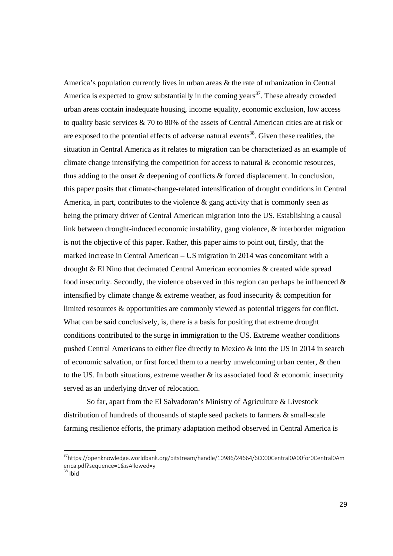America's population currently lives in urban areas & the rate of urbanization in Central America is expected to grow substantially in the coming years<sup>37</sup>. These already crowded urban areas contain inadequate housing, income equality, economic exclusion, low access to quality basic services & 70 to 80% of the assets of Central American cities are at risk or are exposed to the potential effects of adverse natural events $38$ . Given these realities, the situation in Central America as it relates to migration can be characterized as an example of climate change intensifying the competition for access to natural  $\&$  economic resources, thus adding to the onset & deepening of conflicts & forced displacement. In conclusion, this paper posits that climate-change-related intensification of drought conditions in Central America, in part, contributes to the violence  $\&$  gang activity that is commonly seen as being the primary driver of Central American migration into the US. Establishing a causal link between drought-induced economic instability, gang violence, & interborder migration is not the objective of this paper. Rather, this paper aims to point out, firstly, that the marked increase in Central American – US migration in 2014 was concomitant with a drought & El Nino that decimated Central American economies & created wide spread food insecurity. Secondly, the violence observed in this region can perhaps be influenced  $\&$ intensified by climate change & extreme weather, as food insecurity & competition for limited resources & opportunities are commonly viewed as potential triggers for conflict. What can be said conclusively, is, there is a basis for positing that extreme drought conditions contributed to the surge in immigration to the US. Extreme weather conditions pushed Central Americans to either flee directly to Mexico & into the US in 2014 in search of economic salvation, or first forced them to a nearby unwelcoming urban center, & then to the US. In both situations, extreme weather  $\&$  its associated food  $\&$  economic insecurity served as an underlying driver of relocation.

So far, apart from the El Salvadoran's Ministry of Agriculture & Livestock distribution of hundreds of thousands of staple seed packets to farmers & small-scale farming resilience efforts, the primary adaptation method observed in Central America is

 $38$  Ibid

<sup>37</sup>https://openknowledge.worldbank.org/bitstream/handle/10986/24664/6C000Central0A00for0Central0Am erica.pdf?sequence=1&isAllowed=y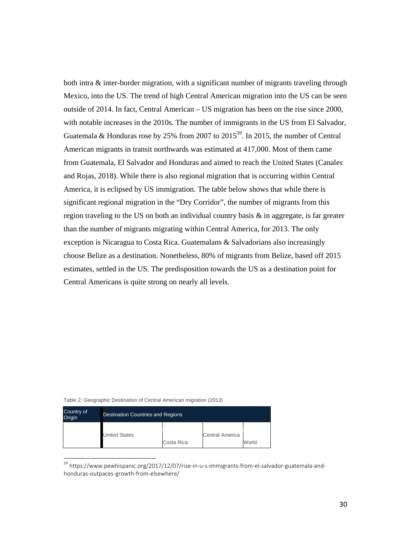both intra & inter-border migration, with a significant number of migrants traveling through Mexico, into the US. The trend of high Central American migration into the US can be seen outside of 2014. In fact, Central American – US migration has been on the rise since 2000, with notable increases in the 2010s. The number of immigrants in the US from El Salvador, Guatemala & Honduras rose by 25% from 2007 to 2015<sup>39</sup>. In 2015, the number of Central American migrants in transit northwards was estimated at 417,000. Most of them came from Guatemala, El Salvador and Honduras and aimed to reach the United States (Canales and Rojas, 2018). While there is also regional migration that is occurring within Central America, it is eclipsed by US immigration. The table below shows that while there is significant regional migration in the "Dry Corridor", the number of migrants from this region traveling to the US on both an individual country basis & in aggregate, is far greater than the number of migrants migrating within Central America, for 2013. The only exception is Nicaragua to Costa Rica. Guatemalans & Salvadorians also increasingly choose Belize as a destination. Nonetheless, 80% of migrants from Belize, based off 2015 estimates, settled in the US. The predisposition towards the US as a destination point for Central Americans is quite strong on nearly all levels.

| Table 2: Geographic Destination of Central American migration (2013) |  |  |  |  |  |  |  |
|----------------------------------------------------------------------|--|--|--|--|--|--|--|
|----------------------------------------------------------------------|--|--|--|--|--|--|--|

| Country of<br>Origin | <b>Destination Countries and Regions</b> |            |                        |       |  |  |
|----------------------|------------------------------------------|------------|------------------------|-------|--|--|
|                      | <b>United States</b>                     | Costa Rica | <b>Central America</b> | World |  |  |

<sup>&</sup>lt;sup>39</sup> https://www.pewhispanic.org/2017/12/07/rise-in-u-s-immigrants-from-el-salvador-guatemala-andhonduras‐outpaces‐growth‐from‐elsewhere/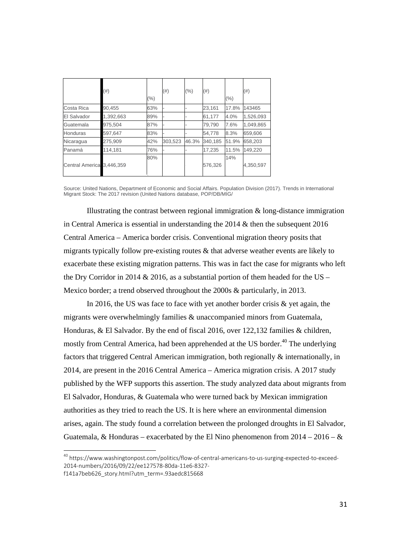|                           | (#)       | $(\% )$ | (#)     | (%)   | $(\#)$  | $(\% )$ | (# )      |
|---------------------------|-----------|---------|---------|-------|---------|---------|-----------|
| Costa Rica                | 90,455    | 63%     |         |       | 23,161  | 17.8%   | 143465    |
| El Salvador               | 1,392,663 | 89%     |         |       | 61,177  | 4.0%    | 1,526,093 |
| Guatemala                 | 975,504   | 87%     |         |       | 79,790  | 7.6%    | 1,049,865 |
| Honduras                  | 597,647   | 83%     |         |       | 54,778  | 8.3%    | 659.606   |
| Nicaragua                 | 275,909   | 42%     | 303,523 | 46.3% | 340,185 | 51.9%   | 658,203   |
| Panamá                    | 114,181   | 76%     |         |       | 17,235  | 11.5%   | 149.220   |
| Central America 3,446,359 |           | 80%     |         |       | 576,326 | 14%     | 4,350,597 |

Source: United Nations, Department of Economic and Social Affairs. Population Division (2017). Trends in International Migrant Stock: The 2017 revision (United Nations database, POP/DB/MIG/

Illustrating the contrast between regional immigration & long-distance immigration in Central America is essential in understanding the  $2014 \&$  then the subsequent 2016 Central America – America border crisis. Conventional migration theory posits that migrants typically follow pre-existing routes & that adverse weather events are likely to exacerbate these existing migration patterns. This was in fact the case for migrants who left the Dry Corridor in 2014  $& 2016$ , as a substantial portion of them headed for the US – Mexico border; a trend observed throughout the 2000s & particularly, in 2013.

In 2016, the US was face to face with yet another border crisis  $\&$  yet again, the migrants were overwhelmingly families & unaccompanied minors from Guatemala, Honduras, & El Salvador. By the end of fiscal 2016, over 122,132 families & children, mostly from Central America, had been apprehended at the US border.<sup>40</sup> The underlying factors that triggered Central American immigration, both regionally & internationally, in 2014, are present in the 2016 Central America – America migration crisis. A 2017 study published by the WFP supports this assertion. The study analyzed data about migrants from El Salvador, Honduras, & Guatemala who were turned back by Mexican immigration authorities as they tried to reach the US. It is here where an environmental dimension arises, again. The study found a correlation between the prolonged droughts in El Salvador, Guatemala, & Honduras – exacerbated by the El Nino phenomenon from  $2014 - 2016 - \&$ 

<sup>&</sup>lt;sup>40</sup> https://www.washingtonpost.com/politics/flow-of-central-americans-to-us-surging-expected-to-exceed-2014‐numbers/2016/09/22/ee127578‐80da‐11e6‐8327‐

f141a7beb626\_story.html?utm\_term=.93aedc815668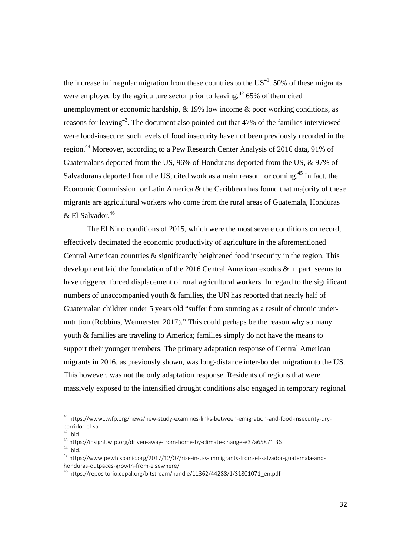the increase in irregular migration from these countries to the  $US<sup>41</sup>$ . 50% of these migrants were employed by the agriculture sector prior to leaving.<sup>42</sup> 65% of them cited unemployment or economic hardship, & 19% low income & poor working conditions, as reasons for leaving<sup>43</sup>. The document also pointed out that  $47\%$  of the families interviewed were food-insecure; such levels of food insecurity have not been previously recorded in the region.44 Moreover, according to a Pew Research Center Analysis of 2016 data, 91% of Guatemalans deported from the US, 96% of Hondurans deported from the US, & 97% of Salvadorans deported from the US, cited work as a main reason for coming.<sup>45</sup> In fact, the Economic Commission for Latin America  $\&$  the Caribbean has found that majority of these migrants are agricultural workers who come from the rural areas of Guatemala, Honduras  $&$  El Salvador.<sup>46</sup>

The El Nino conditions of 2015, which were the most severe conditions on record, effectively decimated the economic productivity of agriculture in the aforementioned Central American countries & significantly heightened food insecurity in the region. This development laid the foundation of the 2016 Central American exodus & in part, seems to have triggered forced displacement of rural agricultural workers. In regard to the significant numbers of unaccompanied youth & families, the UN has reported that nearly half of Guatemalan children under 5 years old "suffer from stunting as a result of chronic undernutrition (Robbins, Wennersten 2017)." This could perhaps be the reason why so many youth & families are traveling to America; families simply do not have the means to support their younger members. The primary adaptation response of Central American migrants in 2016, as previously shown, was long-distance inter-border migration to the US. This however, was not the only adaptation response. Residents of regions that were massively exposed to the intensified drought conditions also engaged in temporary regional

<sup>&</sup>lt;sup>41</sup> https://www1.wfp.org/news/new-study-examines-links-between-emigration-and-food-insecurity-dry-

corridor‐el‐sa<br><sup>42</sup> Ibid.<br><sup>43</sup> https://insight.wfp.org/driven‐away‐from‐home‐by‐climate‐change‐e37a65871f36<br><sup>44</sup> Ibid.<br><sup>45</sup> https://www.pewhispanic.org/2017/12/07/rise‐in‐u‐s‐immigrants‐from‐el‐salvador‐guatemala‐and‐<br>hond

<sup>&</sup>lt;sup>46</sup> https://repositorio.cepal.org/bitstream/handle/11362/44288/1/S1801071\_en.pdf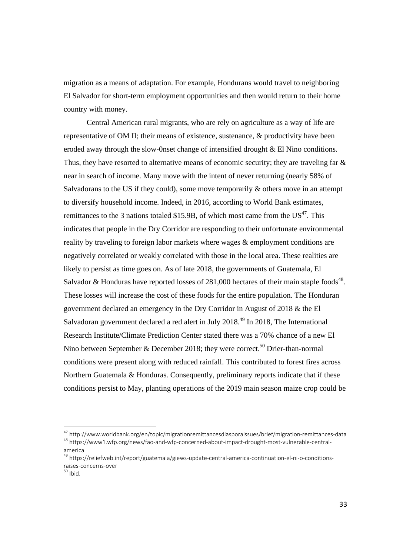migration as a means of adaptation. For example, Hondurans would travel to neighboring El Salvador for short-term employment opportunities and then would return to their home country with money.

Central American rural migrants, who are rely on agriculture as a way of life are representative of OM II; their means of existence, sustenance, & productivity have been eroded away through the slow-0nset change of intensified drought & El Nino conditions. Thus, they have resorted to alternative means of economic security; they are traveling far & near in search of income. Many move with the intent of never returning (nearly 58% of Salvadorans to the US if they could), some move temporarily & others move in an attempt to diversify household income. Indeed, in 2016, according to World Bank estimates, remittances to the 3 nations totaled \$15.9B, of which most came from the  $US^{47}$ . This indicates that people in the Dry Corridor are responding to their unfortunate environmental reality by traveling to foreign labor markets where wages & employment conditions are negatively correlated or weakly correlated with those in the local area. These realities are likely to persist as time goes on. As of late 2018, the governments of Guatemala, El Salvador & Honduras have reported losses of 281,000 hectares of their main staple foods<sup>48</sup>. These losses will increase the cost of these foods for the entire population. The Honduran government declared an emergency in the Dry Corridor in August of 2018 & the El Salvadoran government declared a red alert in July 2018.<sup>49</sup> In 2018, The International Research Institute/Climate Prediction Center stated there was a 70% chance of a new El Nino between September & December 2018; they were correct.<sup>50</sup> Drier-than-normal conditions were present along with reduced rainfall. This contributed to forest fires across Northern Guatemala & Honduras. Consequently, preliminary reports indicate that if these conditions persist to May, planting operations of the 2019 main season maize crop could be

<sup>&</sup>lt;sup>47</sup> http://www.worldbank.org/en/topic/migrationremittancesdiasporaissues/brief/migration-remittances-data <sup>48</sup> https://www1.wfp.org/news/fao-and-wfp-concerned-about-impact-drought-most-vulnerable-centralamerica

<sup>&</sup>lt;sup>49</sup> https://reliefweb.int/report/guatemala/giews-update-central-america-continuation-el-ni-o-conditionsraises-concerns-over<br><sup>50</sup> Ibid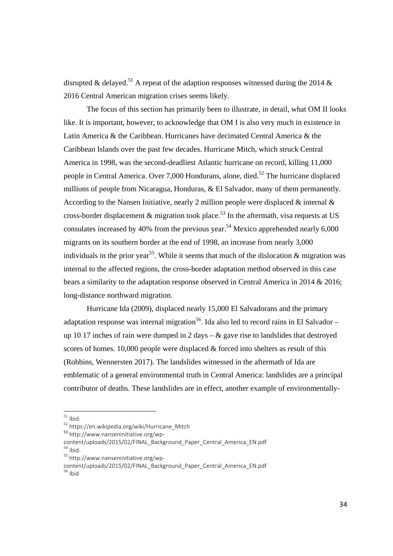disrupted & delayed.<sup>51</sup> A repeat of the adaption responses witnessed during the 2014 & 2016 Central American migration crises seems likely.

 The focus of this section has primarily been to illustrate, in detail, what OM II looks like. It is important, however, to acknowledge that OM I is also very much in existence in Latin America & the Caribbean. Hurricanes have decimated Central America & the Caribbean Islands over the past few decades. Hurricane Mitch, which struck Central America in 1998, was the second-deadliest Atlantic hurricane on record, killing 11,000 people in Central America. Over 7,000 Hondurans, alone, died.<sup>52</sup> The hurricane displaced millions of people from Nicaragua, Honduras, & El Salvador, many of them permanently. According to the Nansen Initiative, nearly 2 million people were displaced  $\&$  internal  $\&$ cross-border displacement  $\&$  migration took place.<sup>53</sup> In the aftermath, visa requests at US consulates increased by 40% from the previous year.<sup>54</sup> Mexico apprehended nearly  $6,000$ migrants on its southern border at the end of 1998, an increase from nearly 3,000 individuals in the prior year<sup>55</sup>. While it seems that much of the dislocation  $\&$  migration was internal to the affected regions, the cross-border adaptation method observed in this case bears a similarity to the adaptation response observed in Central America in 2014 & 2016; long-distance northward migration.

 Hurricane Ida (2009), displaced nearly 15,000 El Salvadorans and the primary adaptation response was internal migration<sup>56</sup>. Ida also led to record rains in El Salvador – up 10 17 inches of rain were dumped in 2 days  $-\&$  gave rise to landslides that destroyed scores of homes. 10,000 people were displaced & forced into shelters as result of this (Robbins, Wennersten 2017). The landslides witnessed in the aftermath of Ida are emblematic of a general environmental truth in Central America: landslides are a principal contributor of deaths. These landslides are in effect, another example of environmentally-

 $51$  Ibid.

 $52$  https://en.wikipedia.org/wiki/Hurricane\_Mitch  $53$  http://www.nanseninitiative.org/wp-

content/uploads/2015/02/FINAL\_Background\_Paper\_Central\_America\_EN.pdf<br><sup>54</sup> Ibid. 55 http://www.nanseninitiative.org/wp-

content/uploads/2015/02/FINAL\_Background\_Paper\_Central\_America\_EN.pdf<br><sup>56</sup> Ibid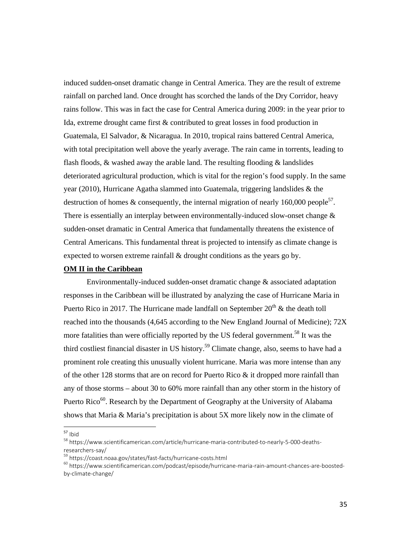induced sudden-onset dramatic change in Central America. They are the result of extreme rainfall on parched land. Once drought has scorched the lands of the Dry Corridor, heavy rains follow. This was in fact the case for Central America during 2009: in the year prior to Ida, extreme drought came first & contributed to great losses in food production in Guatemala, El Salvador, & Nicaragua. In 2010, tropical rains battered Central America, with total precipitation well above the yearly average. The rain came in torrents, leading to flash floods,  $\&$  washed away the arable land. The resulting flooding  $\&$  landslides deteriorated agricultural production, which is vital for the region's food supply. In the same year (2010), Hurricane Agatha slammed into Guatemala, triggering landslides & the destruction of homes & consequently, the internal migration of nearly 160,000 people<sup>57</sup>. There is essentially an interplay between environmentally-induced slow-onset change  $\&$ sudden-onset dramatic in Central America that fundamentally threatens the existence of Central Americans. This fundamental threat is projected to intensify as climate change is expected to worsen extreme rainfall & drought conditions as the years go by.

#### **OM II in the Caribbean**

 Environmentally-induced sudden-onset dramatic change & associated adaptation responses in the Caribbean will be illustrated by analyzing the case of Hurricane Maria in Puerto Rico in 2017. The Hurricane made landfall on September  $20<sup>th</sup>$  & the death toll reached into the thousands (4,645 according to the New England Journal of Medicine); 72X more fatalities than were officially reported by the US federal government.<sup>58</sup> It was the third costliest financial disaster in US history.<sup>59</sup> Climate change, also, seems to have had a prominent role creating this unusually violent hurricane. Maria was more intense than any of the other 128 storms that are on record for Puerto Rico & it dropped more rainfall than any of those storms – about 30 to 60% more rainfall than any other storm in the history of Puerto Rico<sup>60</sup>. Research by the Department of Geography at the University of Alabama shows that Maria & Maria's precipitation is about 5X more likely now in the climate of

 $57$  Ibid

<sup>58</sup> https://www.scientificamerican.com/article/hurricane-maria-contributed-to-nearly-5-000-deathsresearchers‐say/<br><sup>59</sup> https://coast.noaa.gov/states/fast‐facts/hurricane‐costs.html<br><sup>60</sup> https://www.scientificamerican.com/podcast/episode/hurricane‐maria‐rain‐amount‐chances‐are‐boosted‐

by‐climate‐change/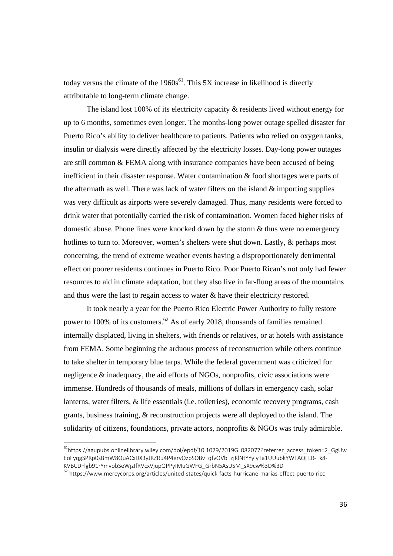today versus the climate of the  $1960s^{61}$ . This 5X increase in likelihood is directly attributable to long-term climate change.

 The island lost 100% of its electricity capacity & residents lived without energy for up to 6 months, sometimes even longer. The months-long power outage spelled disaster for Puerto Rico's ability to deliver healthcare to patients. Patients who relied on oxygen tanks, insulin or dialysis were directly affected by the electricity losses. Day-long power outages are still common & FEMA along with insurance companies have been accused of being inefficient in their disaster response. Water contamination & food shortages were parts of the aftermath as well. There was lack of water filters on the island  $&$  importing supplies was very difficult as airports were severely damaged. Thus, many residents were forced to drink water that potentially carried the risk of contamination. Women faced higher risks of domestic abuse. Phone lines were knocked down by the storm & thus were no emergency hotlines to turn to. Moreover, women's shelters were shut down. Lastly, & perhaps most concerning, the trend of extreme weather events having a disproportionately detrimental effect on poorer residents continues in Puerto Rico. Poor Puerto Rican's not only had fewer resources to aid in climate adaptation, but they also live in far-flung areas of the mountains and thus were the last to regain access to water & have their electricity restored.

 It took nearly a year for the Puerto Rico Electric Power Authority to fully restore power to 100% of its customers.<sup>62</sup> As of early 2018, thousands of families remained internally displaced, living in shelters, with friends or relatives, or at hotels with assistance from FEMA. Some beginning the arduous process of reconstruction while others continue to take shelter in temporary blue tarps. While the federal government was criticized for negligence & inadequacy, the aid efforts of NGOs, nonprofits, civic associations were immense. Hundreds of thousands of meals, millions of dollars in emergency cash, solar lanterns, water filters, & life essentials (i.e. toiletries), economic recovery programs, cash grants, business training, & reconstruction projects were all deployed to the island. The solidarity of citizens, foundations, private actors, nonprofits & NGOs was truly admirable.

<sup>&</sup>lt;sup>61</sup>https://agupubs.onlinelibrary.wiley.com/doi/epdf/10.1029/2019GL082077?referrer\_access\_token=2\_GgUw EoFyqgSPRp0sBmW8OuACxIJX3yJRZRu4P4ervOzpSOBv\_qfvOVb\_zjKlNtYYyIyTa1UUubkYWFAQFLR-\_k8-<br>KVBCDFlgb91rYmvobSeWjzIfRVcxVjupQPPyIMuGWFG\_GrbN5AsUSM\_sX9cw%3D%3D

 $62$ https://www.mercycorps.org/articles/united‐states/quick‐facts‐hurricane‐marias‐effect‐puerto‐rico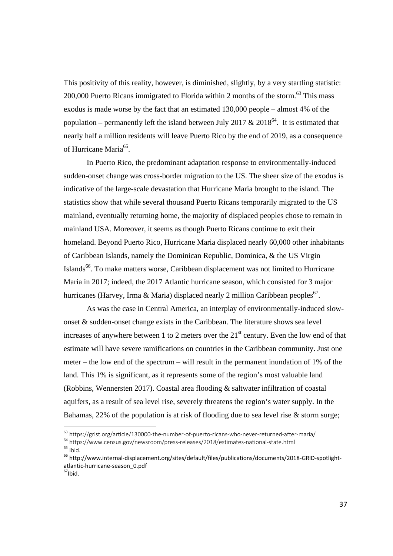This positivity of this reality, however, is diminished, slightly, by a very startling statistic: 200,000 Puerto Ricans immigrated to Florida within 2 months of the storm.<sup>63</sup> This mass exodus is made worse by the fact that an estimated 130,000 people – almost 4% of the population – permanently left the island between July 2017  $& 2018^{64}$ . It is estimated that nearly half a million residents will leave Puerto Rico by the end of 2019, as a consequence of Hurricane Maria<sup>65</sup>

 In Puerto Rico, the predominant adaptation response to environmentally-induced sudden-onset change was cross-border migration to the US. The sheer size of the exodus is indicative of the large-scale devastation that Hurricane Maria brought to the island. The statistics show that while several thousand Puerto Ricans temporarily migrated to the US mainland, eventually returning home, the majority of displaced peoples chose to remain in mainland USA. Moreover, it seems as though Puerto Ricans continue to exit their homeland. Beyond Puerto Rico, Hurricane Maria displaced nearly 60,000 other inhabitants of Caribbean Islands, namely the Dominican Republic, Dominica, & the US Virgin Islands<sup>66</sup>. To make matters worse, Caribbean displacement was not limited to Hurricane Maria in 2017; indeed, the 2017 Atlantic hurricane season, which consisted for 3 major hurricanes (Harvey, Irma & Maria) displaced nearly 2 million Caribbean peoples<sup>67</sup>.

As was the case in Central America, an interplay of environmentally-induced slowonset & sudden-onset change exists in the Caribbean. The literature shows sea level increases of anywhere between 1 to 2 meters over the  $21<sup>st</sup>$  century. Even the low end of that estimate will have severe ramifications on countries in the Caribbean community. Just one meter – the low end of the spectrum – will result in the permanent inundation of 1% of the land. This 1% is significant, as it represents some of the region's most valuable land (Robbins, Wennersten 2017). Coastal area flooding & saltwater infiltration of coastal aquifers, as a result of sea level rise, severely threatens the region's water supply. In the Bahamas, 22% of the population is at risk of flooding due to sea level rise & storm surge;

<sup>63</sup> https://grist.org/article/130000-the-number-of-puerto-ricans-who-never-returned-after-maria/

 $^{64}$  https://www.census.gov/newsroom/press-releases/2018/estimates-national-state.html<br> $^{65}$  lbid.<br> $^{66}$  http://www.internal-displacement.org/sites/default/files/publications/documents/2018-GRID-spotlight-

atlantic-hurricane-season\_0.pdf<br><sup>67</sup>Ibid.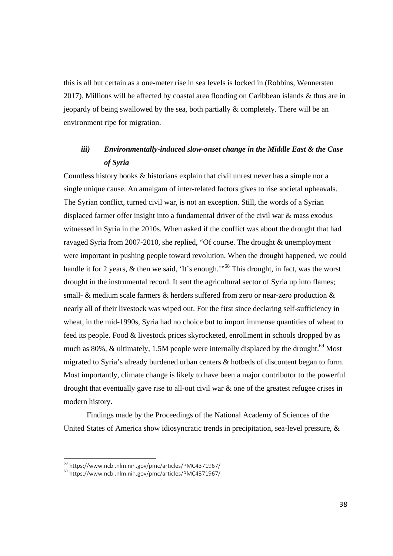this is all but certain as a one-meter rise in sea levels is locked in (Robbins, Wennersten 2017). Millions will be affected by coastal area flooding on Caribbean islands & thus are in jeopardy of being swallowed by the sea, both partially & completely. There will be an environment ripe for migration.

### *iii) Environmentally-induced slow-onset change in the Middle East & the Case of Syria*

Countless history books & historians explain that civil unrest never has a simple nor a single unique cause. An amalgam of inter-related factors gives to rise societal upheavals. The Syrian conflict, turned civil war, is not an exception. Still, the words of a Syrian displaced farmer offer insight into a fundamental driver of the civil war & mass exodus witnessed in Syria in the 2010s. When asked if the conflict was about the drought that had ravaged Syria from 2007-2010, she replied, "Of course. The drought & unemployment were important in pushing people toward revolution. When the drought happened, we could handle it for 2 years, & then we said, 'It's enough.'<sup>568</sup> This drought, in fact, was the worst drought in the instrumental record. It sent the agricultural sector of Syria up into flames; small- & medium scale farmers & herders suffered from zero or near-zero production & nearly all of their livestock was wiped out. For the first since declaring self-sufficiency in wheat, in the mid-1990s, Syria had no choice but to import immense quantities of wheat to feed its people. Food & livestock prices skyrocketed, enrollment in schools dropped by as much as 80%,  $&$  ultimately, 1.5M people were internally displaced by the drought.<sup>69</sup> Most migrated to Syria's already burdened urban centers & hotbeds of discontent began to form. Most importantly, climate change is likely to have been a major contributor to the powerful drought that eventually gave rise to all-out civil war & one of the greatest refugee crises in modern history.

 Findings made by the Proceedings of the National Academy of Sciences of the United States of America show idiosyncratic trends in precipitation, sea-level pressure, &

 $^{68}$  https://www.ncbi.nlm.nih.gov/pmc/articles/PMC4371967/<br> $^{69}$  https://www.ncbi.nlm.nih.gov/pmc/articles/PMC4371967/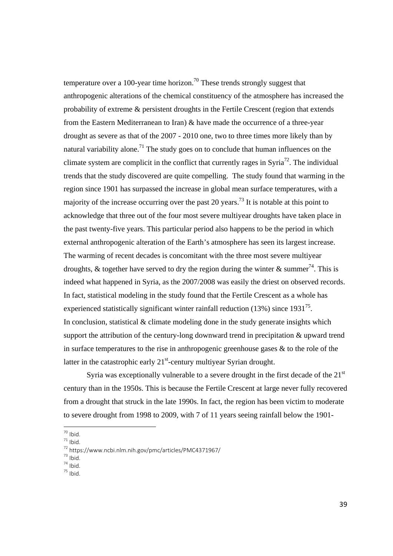temperature over a 100-year time horizon.<sup>70</sup> These trends strongly suggest that anthropogenic alterations of the chemical constituency of the atmosphere has increased the probability of extreme & persistent droughts in the Fertile Crescent (region that extends from the Eastern Mediterranean to Iran) & have made the occurrence of a three-year drought as severe as that of the 2007 - 2010 one, two to three times more likely than by natural variability alone.<sup>71</sup> The study goes on to conclude that human influences on the climate system are complicit in the conflict that currently rages in Syria<sup>72</sup>. The individual trends that the study discovered are quite compelling. The study found that warming in the region since 1901 has surpassed the increase in global mean surface temperatures, with a majority of the increase occurring over the past 20 years.<sup>73</sup> It is notable at this point to acknowledge that three out of the four most severe multiyear droughts have taken place in the past twenty-five years. This particular period also happens to be the period in which external anthropogenic alteration of the Earth's atmosphere has seen its largest increase. The warming of recent decades is concomitant with the three most severe multiyear droughts, & together have served to dry the region during the winter & summer<sup>74</sup>. This is indeed what happened in Syria, as the 2007/2008 was easily the driest on observed records. In fact, statistical modeling in the study found that the Fertile Crescent as a whole has experienced statistically significant winter rainfall reduction  $(13\%)$  since  $1931^{75}$ . In conclusion, statistical  $\&$  climate modeling done in the study generate insights which support the attribution of the century-long downward trend in precipitation & upward trend in surface temperatures to the rise in anthropogenic greenhouse gases & to the role of the latter in the catastrophic early  $21<sup>st</sup>$ -century multiyear Syrian drought.

Syria was exceptionally vulnerable to a severe drought in the first decade of the  $21<sup>st</sup>$ century than in the 1950s. This is because the Fertile Crescent at large never fully recovered from a drought that struck in the late 1990s. In fact, the region has been victim to moderate to severe drought from 1998 to 2009, with 7 of 11 years seeing rainfall below the 1901-

 $\frac{70}{1}$ lhid

<sup>&</sup>lt;sup>71</sup> Ibid.<br><sup>72</sup> https://www.ncbi.nlm.nih.gov/pmc/articles/PMC4371967/<br><sup>73</sup> Ibid.<br><sup>74</sup> Ibid. <sup>75</sup> Ibid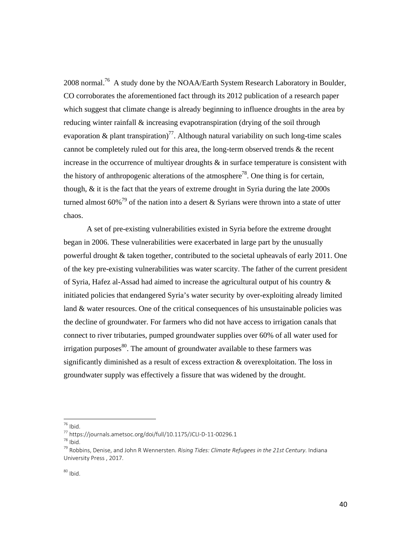2008 normal.76 A study done by the NOAA/Earth System Research Laboratory in Boulder, CO corroborates the aforementioned fact through its 2012 publication of a research paper which suggest that climate change is already beginning to influence droughts in the area by reducing winter rainfall & increasing evapotranspiration (drying of the soil through evaporation & plant transpiration)<sup>77</sup>. Although natural variability on such long-time scales cannot be completely ruled out for this area, the long-term observed trends & the recent increase in the occurrence of multiyear droughts  $\&$  in surface temperature is consistent with the history of anthropogenic alterations of the atmosphere<sup>78</sup>. One thing is for certain, though, & it is the fact that the years of extreme drought in Syria during the late 2000s turned almost  $60\%$ <sup>79</sup> of the nation into a desert & Syrians were thrown into a state of utter chaos.

 A set of pre-existing vulnerabilities existed in Syria before the extreme drought began in 2006. These vulnerabilities were exacerbated in large part by the unusually powerful drought & taken together, contributed to the societal upheavals of early 2011. One of the key pre-existing vulnerabilities was water scarcity. The father of the current president of Syria, Hafez al-Assad had aimed to increase the agricultural output of his country & initiated policies that endangered Syria's water security by over-exploiting already limited land & water resources. One of the critical consequences of his unsustainable policies was the decline of groundwater. For farmers who did not have access to irrigation canals that connect to river tributaries, pumped groundwater supplies over 60% of all water used for irrigation purposes $80$ . The amount of groundwater available to these farmers was significantly diminished as a result of excess extraction & overexploitation. The loss in groundwater supply was effectively a fissure that was widened by the drought.

 $76$  Ibid.

<sup>77</sup> https://journals.ametsoc.org/doi/full/10.1175/JCLI-D-11-00296.1<br><sup>78</sup> Ibid.<br><sup>79</sup> Robbins, Denise, and John R Wennersten. *Rising Tides: Climate Refugees in the 21st Century*. Indiana University Press , 2017.

 $80$  Ibid.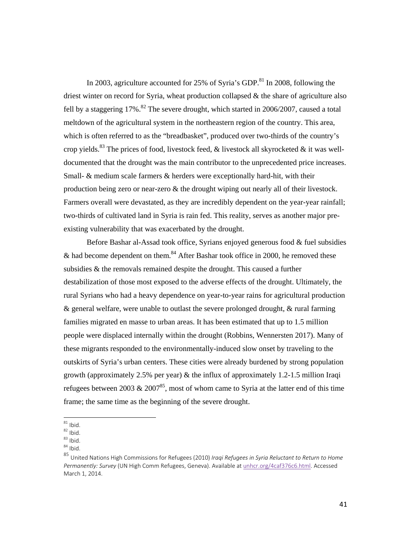In 2003, agriculture accounted for  $25\%$  of Syria's GDP.<sup>81</sup> In 2008, following the driest winter on record for Syria, wheat production collapsed & the share of agriculture also fell by a staggering  $17\%$ .<sup>82</sup> The severe drought, which started in 2006/2007, caused a total meltdown of the agricultural system in the northeastern region of the country. This area, which is often referred to as the "breadbasket", produced over two-thirds of the country's crop yields.<sup>83</sup> The prices of food, livestock feed, & livestock all skyrocketed & it was welldocumented that the drought was the main contributor to the unprecedented price increases. Small- & medium scale farmers & herders were exceptionally hard-hit, with their production being zero or near-zero & the drought wiping out nearly all of their livestock. Farmers overall were devastated, as they are incredibly dependent on the year-year rainfall; two-thirds of cultivated land in Syria is rain fed. This reality, serves as another major preexisting vulnerability that was exacerbated by the drought.

Before Bashar al-Assad took office, Syrians enjoyed generous food & fuel subsidies & had become dependent on them.<sup>84</sup> After Bashar took office in 2000, he removed these subsidies & the removals remained despite the drought. This caused a further destabilization of those most exposed to the adverse effects of the drought. Ultimately, the rural Syrians who had a heavy dependence on year-to-year rains for agricultural production & general welfare, were unable to outlast the severe prolonged drought, & rural farming families migrated en masse to urban areas. It has been estimated that up to 1.5 million people were displaced internally within the drought (Robbins, Wennersten 2017). Many of these migrants responded to the environmentally-induced slow onset by traveling to the outskirts of Syria's urban centers. These cities were already burdened by strong population growth (approximately 2.5% per year) & the influx of approximately 1.2-1.5 million Iraqi refugees between 2003  $\&$  2007<sup>85</sup>, most of whom came to Syria at the latter end of this time frame; the same time as the beginning of the severe drought.

 $81$  Ibid.

 $\frac{82}{83}$  Ibid.<br> $\frac{83}{84}$  Ibid.

<sup>85</sup> United Nations High Commissions for Refugees (2010) *Iraqi Refugees in Syria Reluctant to Return to Home Permanently: Survey* (UN High Comm Refugees, Geneva). Available at unhcr.org/4caf376c6.html. Accessed March 1, 2014.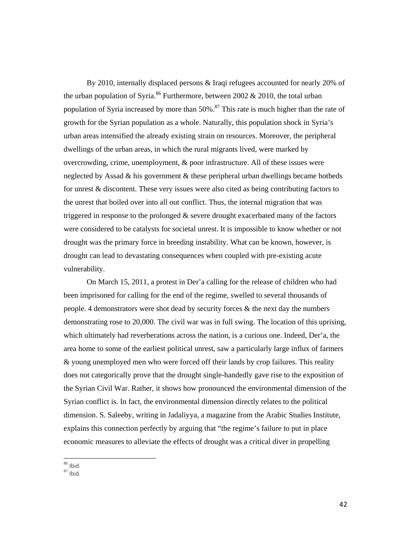By 2010, internally displaced persons & Iraqi refugees accounted for nearly 20% of the urban population of Syria.<sup>86</sup> Furthermore, between 2002  $& 2010$ , the total urban population of Syria increased by more than  $50\%$ .<sup>87</sup> This rate is much higher than the rate of growth for the Syrian population as a whole. Naturally, this population shock in Syria's urban areas intensified the already existing strain on resources. Moreover, the peripheral dwellings of the urban areas, in which the rural migrants lived, were marked by overcrowding, crime, unemployment, & poor infrastructure. All of these issues were neglected by Assad & his government & these peripheral urban dwellings became hotbeds for unrest & discontent. These very issues were also cited as being contributing factors to the unrest that boiled over into all out conflict. Thus, the internal migration that was triggered in response to the prolonged & severe drought exacerbated many of the factors were considered to be catalysts for societal unrest. It is impossible to know whether or not drought was the primary force in breeding instability. What can be known, however, is drought can lead to devastating consequences when coupled with pre-existing acute vulnerability.

 On March 15, 2011, a protest in Der'a calling for the release of children who had been imprisoned for calling for the end of the regime, swelled to several thousands of people. 4 demonstrators were shot dead by security forces & the next day the numbers demonstrating rose to 20,000. The civil war was in full swing. The location of this uprising, which ultimately had reverberations across the nation, is a curious one. Indeed, Der'a, the area home to some of the earliest political unrest, saw a particularly large influx of farmers & young unemployed men who were forced off their lands by crop failures. This reality does not categorically prove that the drought single-handedly gave rise to the exposition of the Syrian Civil War. Rather, it shows how pronounced the environmental dimension of the Syrian conflict is. In fact, the environmental dimension directly relates to the political dimension. S. Saleeby, writing in Jadaliyya, a magazine from the Arabic Studies Institute, explains this connection perfectly by arguing that "the regime's failure to put in place economic measures to alleviate the effects of drought was a critical diver in propelling

 <sup>86</sup> Ibid.<br><sup>87</sup> Ibid.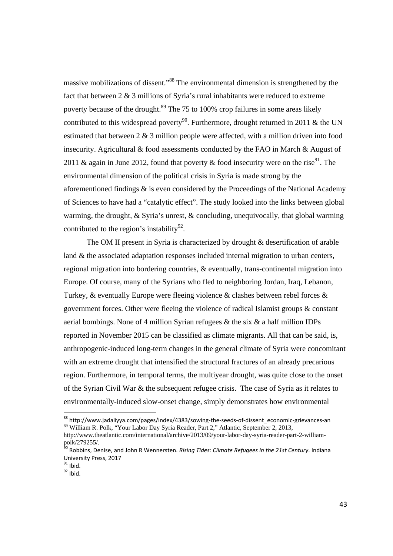massive mobilizations of dissent."<sup>88</sup> The environmental dimension is strengthened by the fact that between 2 & 3 millions of Syria's rural inhabitants were reduced to extreme poverty because of the drought.<sup>89</sup> The 75 to 100% crop failures in some areas likely contributed to this widespread poverty<sup>90</sup>. Furthermore, drought returned in 2011 & the UN estimated that between 2 & 3 million people were affected, with a million driven into food insecurity. Agricultural & food assessments conducted by the FAO in March & August of 2011 & again in June 2012, found that poverty & food insecurity were on the rise<sup>91</sup>. The environmental dimension of the political crisis in Syria is made strong by the aforementioned findings  $\&$  is even considered by the Proceedings of the National Academy of Sciences to have had a "catalytic effect". The study looked into the links between global warming, the drought, & Syria's unrest, & concluding, unequivocally, that global warming contributed to the region's instability<sup>92</sup>.

 The OM II present in Syria is characterized by drought & desertification of arable land & the associated adaptation responses included internal migration to urban centers, regional migration into bordering countries, & eventually, trans-continental migration into Europe. Of course, many of the Syrians who fled to neighboring Jordan, Iraq, Lebanon, Turkey, & eventually Europe were fleeing violence & clashes between rebel forces & government forces. Other were fleeing the violence of radical Islamist groups & constant aerial bombings. None of 4 million Syrian refugees & the six & a half million IDPs reported in November 2015 can be classified as climate migrants. All that can be said, is, anthropogenic-induced long-term changes in the general climate of Syria were concomitant with an extreme drought that intensified the structural fractures of an already precarious region. Furthermore, in temporal terms, the multiyear drought, was quite close to the onset of the Syrian Civil War & the subsequent refugee crisis. The case of Syria as it relates to environmentally-induced slow-onset change, simply demonstrates how environmental

http://www.theatlantic.com/international/archive/2013/09/your-labor-day-syria-reader-part-2-williampolk/279255/.

<sup>&</sup>lt;sup>88</sup> http://www.jadaliyya.com/pages/index/4383/sowing-the-seeds-of-dissent\_economic-grievances-an  $89$  William R. Polk, "Your Labor Day Syria Reader, Part 2," Atlantic, September 2, 2013,

<sup>90</sup> Robbins, Denise, and John R Wennersten. *Rising Tides: Climate Refugees in the 21st Century*. Indiana University Press, 2017<br> $\frac{91}{10}$  Ibid.<br> $\frac{92}{10}$  Ibid.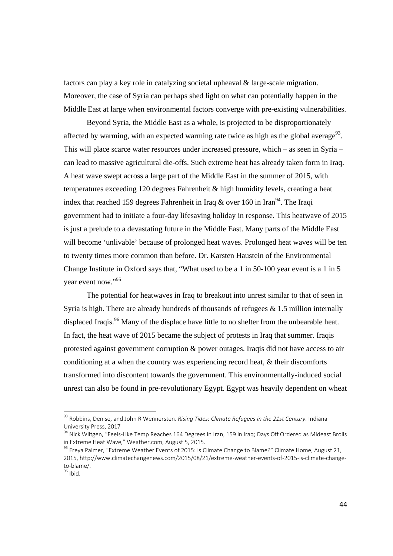factors can play a key role in catalyzing societal upheaval & large-scale migration. Moreover, the case of Syria can perhaps shed light on what can potentially happen in the Middle East at large when environmental factors converge with pre-existing vulnerabilities.

Beyond Syria, the Middle East as a whole, is projected to be disproportionately affected by warming, with an expected warming rate twice as high as the global average<sup>93</sup>. This will place scarce water resources under increased pressure, which – as seen in Syria – can lead to massive agricultural die-offs. Such extreme heat has already taken form in Iraq. A heat wave swept across a large part of the Middle East in the summer of 2015, with temperatures exceeding 120 degrees Fahrenheit & high humidity levels, creating a heat index that reached 159 degrees Fahrenheit in Iraq & over 160 in Iran<sup>94</sup>. The Iraqi government had to initiate a four-day lifesaving holiday in response. This heatwave of 2015 is just a prelude to a devastating future in the Middle East. Many parts of the Middle East will become 'unlivable' because of prolonged heat waves. Prolonged heat waves will be ten to twenty times more common than before. Dr. Karsten Haustein of the Environmental Change Institute in Oxford says that, "What used to be a 1 in 50-100 year event is a 1 in 5 year event now."<sup>95</sup>

The potential for heatwaves in Iraq to breakout into unrest similar to that of seen in Syria is high. There are already hundreds of thousands of refugees  $\&$  1.5 million internally displaced Iraqis.<sup>96</sup> Many of the displace have little to no shelter from the unbearable heat. In fact, the heat wave of 2015 became the subject of protests in Iraq that summer. Iraqis protested against government corruption & power outages. Iraqis did not have access to air conditioning at a when the country was experiencing record heat, & their discomforts transformed into discontent towards the government. This environmentally-induced social unrest can also be found in pre-revolutionary Egypt. Egypt was heavily dependent on wheat

<sup>93</sup> Robbins, Denise, and John R Wennersten. *Rising Tides: Climate Refugees in the 21st Century*. Indiana University Press, 2017<br><sup>94</sup> Nick Wiltgen, "Feels-Like Temp Reaches 164 Degrees in Iran, 159 in Iraq; Days Off Ordered as Mideast Broils

in Extreme Heat Wave," Weather.com, August 5, 2015.<br><sup>95</sup> Freya Palmer, "Extreme Weather Events of 2015: Is Climate Change to Blame?" Climate Home, August 21,

<sup>2015,</sup> http://www.climatechangenews.com/2015/08/21/extreme‐weather‐events‐of‐2015‐is‐climate‐change‐ to-blame/.<br> $96$  Ibid.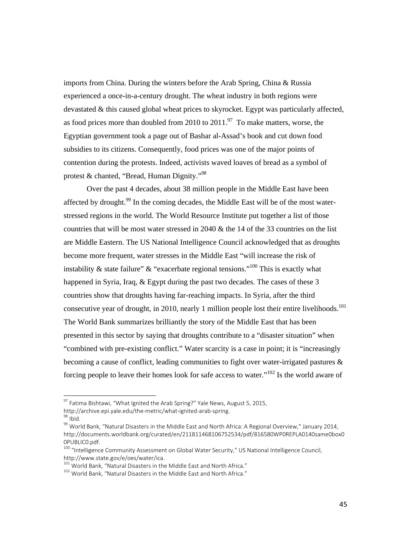imports from China. During the winters before the Arab Spring, China & Russia experienced a once-in-a-century drought. The wheat industry in both regions were devastated & this caused global wheat prices to skyrocket. Egypt was particularly affected, as food prices more than doubled from 2010 to  $2011.^{97}$  To make matters, worse, the Egyptian government took a page out of Bashar al-Assad's book and cut down food subsidies to its citizens. Consequently, food prices was one of the major points of contention during the protests. Indeed, activists waved loaves of bread as a symbol of protest & chanted, "Bread, Human Dignity."98

Over the past 4 decades, about 38 million people in the Middle East have been affected by drought.<sup>99</sup> In the coming decades, the Middle East will be of the most waterstressed regions in the world. The World Resource Institute put together a list of those countries that will be most water stressed in 2040 & the 14 of the 33 countries on the list are Middle Eastern. The US National Intelligence Council acknowledged that as droughts become more frequent, water stresses in the Middle East "will increase the risk of instability & state failure" & "exacerbate regional tensions."<sup>100</sup> This is exactly what happened in Syria, Iraq, & Egypt during the past two decades. The cases of these 3 countries show that droughts having far-reaching impacts. In Syria, after the third consecutive year of drought, in 2010, nearly 1 million people lost their entire livelihoods.<sup>101</sup> The World Bank summarizes brilliantly the story of the Middle East that has been presented in this sector by saying that droughts contribute to a "disaster situation" when "combined with pre-existing conflict." Water scarcity is a case in point; it is "increasingly becoming a cause of conflict, leading communities to fight over water-irrigated pastures & forcing people to leave their homes look for safe access to water."102 Is the world aware of

 $^{97}$  Fatima Bishtawi, "What Ignited the Arab Spring?" Yale News, August 5, 2015,

http://archive.epi.yale.edu/the-metric/what-ignited-arab-spring.<br><sup>98</sup> Ibid. 1998<br><sup>99</sup> World Bank, "Natural Disasters in the Middle East and North Africa: A Regional Overview," January 2014, http://documents.worldbank.org/curated/en/211811468106752534/pdf/816580WP0REPLA0140same0box0 0PUBLIC0.pdf.

<sup>&</sup>lt;sup>100</sup> "Intelligence Community Assessment on Global Water Security," US National Intelligence Council, http://www.state.gov/e/oes/water/ica.<br><sup>101</sup> World Bank, "Natural Disasters in the Middle East and North Africa." <sup>102</sup> World Bank. "Natural Disasters in the Middle East and North Africa."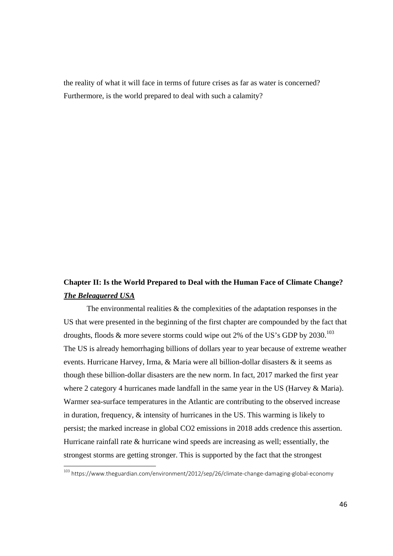the reality of what it will face in terms of future crises as far as water is concerned? Furthermore, is the world prepared to deal with such a calamity?

## **Chapter II: Is the World Prepared to Deal with the Human Face of Climate Change?**  *The Beleaguered USA*

The environmental realities  $\&$  the complexities of the adaptation responses in the US that were presented in the beginning of the first chapter are compounded by the fact that droughts, floods  $\&$  more severe storms could wipe out 2% of the US's GDP by 2030.<sup>103</sup> The US is already hemorrhaging billions of dollars year to year because of extreme weather events. Hurricane Harvey, Irma, & Maria were all billion-dollar disasters & it seems as though these billion-dollar disasters are the new norm. In fact, 2017 marked the first year where 2 category 4 hurricanes made landfall in the same year in the US (Harvey & Maria). Warmer sea-surface temperatures in the Atlantic are contributing to the observed increase in duration, frequency, & intensity of hurricanes in the US. This warming is likely to persist; the marked increase in global CO2 emissions in 2018 adds credence this assertion. Hurricane rainfall rate & hurricane wind speeds are increasing as well; essentially, the strongest storms are getting stronger. This is supported by the fact that the strongest

<sup>103</sup> https://www.theguardian.com/environment/2012/sep/26/climate‐change‐damaging‐global‐economy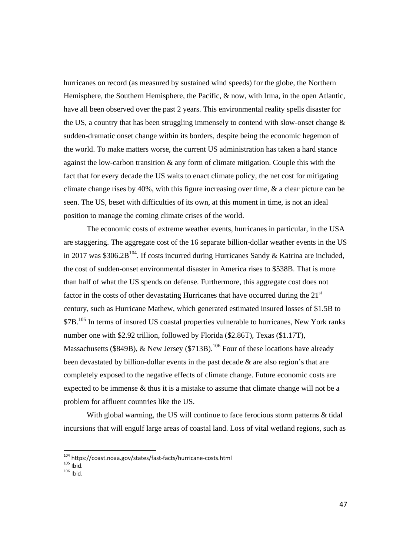hurricanes on record (as measured by sustained wind speeds) for the globe, the Northern Hemisphere, the Southern Hemisphere, the Pacific, & now, with Irma, in the open Atlantic, have all been observed over the past 2 years. This environmental reality spells disaster for the US, a country that has been struggling immensely to contend with slow-onset change  $\&$ sudden-dramatic onset change within its borders, despite being the economic hegemon of the world. To make matters worse, the current US administration has taken a hard stance against the low-carbon transition & any form of climate mitigation. Couple this with the fact that for every decade the US waits to enact climate policy, the net cost for mitigating climate change rises by 40%, with this figure increasing over time, & a clear picture can be seen. The US, beset with difficulties of its own, at this moment in time, is not an ideal position to manage the coming climate crises of the world.

The economic costs of extreme weather events, hurricanes in particular, in the USA are staggering. The aggregate cost of the 16 separate billion-dollar weather events in the US in 2017 was \$306.2B<sup>104</sup>. If costs incurred during Hurricanes Sandy & Katrina are included, the cost of sudden-onset environmental disaster in America rises to \$538B. That is more than half of what the US spends on defense. Furthermore, this aggregate cost does not factor in the costs of other devastating Hurricanes that have occurred during the  $21<sup>st</sup>$ century, such as Hurricane Mathew, which generated estimated insured losses of \$1.5B to \$7B.<sup>105</sup> In terms of insured US coastal properties vulnerable to hurricanes, New York ranks number one with \$2.92 trillion, followed by Florida (\$2.86T), Texas (\$1.17T), Massachusetts (\$849B), & New Jersey (\$713B).<sup>106</sup> Four of these locations have already been devastated by billion-dollar events in the past decade & are also region's that are completely exposed to the negative effects of climate change. Future economic costs are expected to be immense & thus it is a mistake to assume that climate change will not be a problem for affluent countries like the US.

With global warming, the US will continue to face ferocious storm patterns & tidal incursions that will engulf large areas of coastal land. Loss of vital wetland regions, such as

<sup>104</sup> https://coast.noaa.gov/states/fast-facts/hurricane-costs.html<br>105 Ibid. 106 Ibid.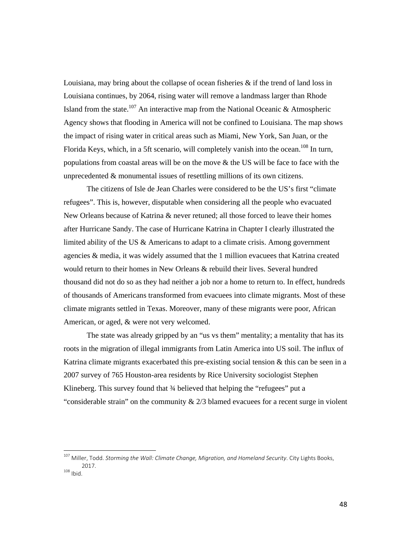Louisiana, may bring about the collapse of ocean fisheries & if the trend of land loss in Louisiana continues, by 2064, rising water will remove a landmass larger than Rhode Island from the state.<sup>107</sup> An interactive map from the National Oceanic & Atmospheric Agency shows that flooding in America will not be confined to Louisiana. The map shows the impact of rising water in critical areas such as Miami, New York, San Juan, or the Florida Keys, which, in a 5ft scenario, will completely vanish into the ocean.<sup>108</sup> In turn, populations from coastal areas will be on the move  $\&$  the US will be face to face with the unprecedented & monumental issues of resettling millions of its own citizens.

The citizens of Isle de Jean Charles were considered to be the US's first "climate refugees". This is, however, disputable when considering all the people who evacuated New Orleans because of Katrina & never retuned; all those forced to leave their homes after Hurricane Sandy. The case of Hurricane Katrina in Chapter I clearly illustrated the limited ability of the US & Americans to adapt to a climate crisis. Among government agencies & media, it was widely assumed that the 1 million evacuees that Katrina created would return to their homes in New Orleans & rebuild their lives. Several hundred thousand did not do so as they had neither a job nor a home to return to. In effect, hundreds of thousands of Americans transformed from evacuees into climate migrants. Most of these climate migrants settled in Texas. Moreover, many of these migrants were poor, African American, or aged, & were not very welcomed.

The state was already gripped by an "us vs them" mentality; a mentality that has its roots in the migration of illegal immigrants from Latin America into US soil. The influx of Katrina climate migrants exacerbated this pre-existing social tension  $\&$  this can be seen in a 2007 survey of 765 Houston-area residents by Rice University sociologist Stephen Klineberg. This survey found that <sup>3</sup>/<sub>4</sub> believed that helping the "refugees" put a "considerable strain" on the community  $\& 2/3$  blamed evacues for a recent surge in violent

<sup>107</sup> Miller, Todd. *Storming the Wall: Climate Change, Migration, and Homeland Security*. City Lights Books,  $2017.$ <sup>108</sup> Ibid.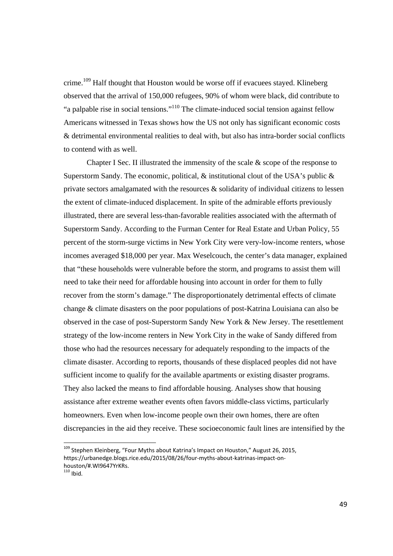crime.<sup>109</sup> Half thought that Houston would be worse off if evacuees stayed. Klineberg observed that the arrival of 150,000 refugees, 90% of whom were black, did contribute to "a palpable rise in social tensions."110 The climate-induced social tension against fellow Americans witnessed in Texas shows how the US not only has significant economic costs & detrimental environmental realities to deal with, but also has intra-border social conflicts to contend with as well.

Chapter I Sec. II illustrated the immensity of the scale  $\&$  scope of the response to Superstorm Sandy. The economic, political,  $\&$  institutional clout of the USA's public  $\&$ private sectors amalgamated with the resources  $\&$  solidarity of individual citizens to lessen the extent of climate-induced displacement. In spite of the admirable efforts previously illustrated, there are several less-than-favorable realities associated with the aftermath of Superstorm Sandy. According to the Furman Center for Real Estate and Urban Policy, 55 percent of the storm-surge victims in New York City were very-low-income renters, whose incomes averaged \$18,000 per year. Max Weselcouch, the center's data manager, explained that "these households were vulnerable before the storm, and programs to assist them will need to take their need for affordable housing into account in order for them to fully recover from the storm's damage." The disproportionately detrimental effects of climate change & climate disasters on the poor populations of post-Katrina Louisiana can also be observed in the case of post-Superstorm Sandy New York & New Jersey. The resettlement strategy of the low-income renters in New York City in the wake of Sandy differed from those who had the resources necessary for adequately responding to the impacts of the climate disaster. According to reports, thousands of these displaced peoples did not have sufficient income to qualify for the available apartments or existing disaster programs. They also lacked the means to find affordable housing. Analyses show that housing assistance after extreme weather events often favors middle-class victims, particularly homeowners. Even when low-income people own their own homes, there are often discrepancies in the aid they receive. These socioeconomic fault lines are intensified by the

 $110$  Ibid.

<sup>&</sup>lt;sup>109</sup> Stephen Kleinberg, "Four Myths about Katrina's Impact on Houston," August 26, 2015, https://urbanedge.blogs.rice.edu/2015/08/26/four-myths-about-katrinas-impact-onhouston/#.WI9647YrKRs.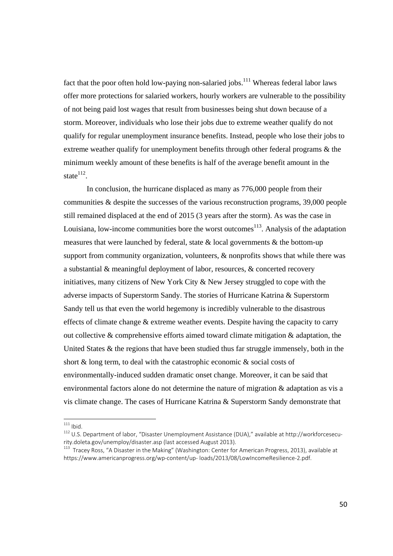fact that the poor often hold low-paying non-salaried jobs.<sup>111</sup> Whereas federal labor laws offer more protections for salaried workers, hourly workers are vulnerable to the possibility of not being paid lost wages that result from businesses being shut down because of a storm. Moreover, individuals who lose their jobs due to extreme weather qualify do not qualify for regular unemployment insurance benefits. Instead, people who lose their jobs to extreme weather qualify for unemployment benefits through other federal programs & the minimum weekly amount of these benefits is half of the average benefit amount in the state $112$ .

In conclusion, the hurricane displaced as many as 776,000 people from their communities & despite the successes of the various reconstruction programs, 39,000 people still remained displaced at the end of 2015 (3 years after the storm). As was the case in Louisiana, low-income communities bore the worst outcomes<sup>113</sup>. Analysis of the adaptation measures that were launched by federal, state  $\&$  local governments  $\&$  the bottom-up support from community organization, volunteers, & nonprofits shows that while there was a substantial & meaningful deployment of labor, resources, & concerted recovery initiatives, many citizens of New York City & New Jersey struggled to cope with the adverse impacts of Superstorm Sandy. The stories of Hurricane Katrina & Superstorm Sandy tell us that even the world hegemony is incredibly vulnerable to the disastrous effects of climate change & extreme weather events. Despite having the capacity to carry out collective & comprehensive efforts aimed toward climate mitigation & adaptation, the United States  $\&$  the regions that have been studied thus far struggle immensely, both in the short & long term, to deal with the catastrophic economic & social costs of environmentally-induced sudden dramatic onset change. Moreover, it can be said that environmental factors alone do not determine the nature of migration & adaptation as vis a vis climate change. The cases of Hurricane Katrina & Superstorm Sandy demonstrate that

 $111$  Ibid.

<sup>112</sup> U.S. Department of labor, "Disaster Unemployment Assistance (DUA)," available at http://workforcesecurity.doleta.gov/unemploy/disaster.asp (last accessed August 2013).<br><sup>113</sup> Tracey Ross, "A Disaster in the Making" (Washington: Center for American Progress, 2013), available at

https://www.americanprogress.org/wp‐content/up‐ loads/2013/08/LowIncomeResilience‐2.pdf.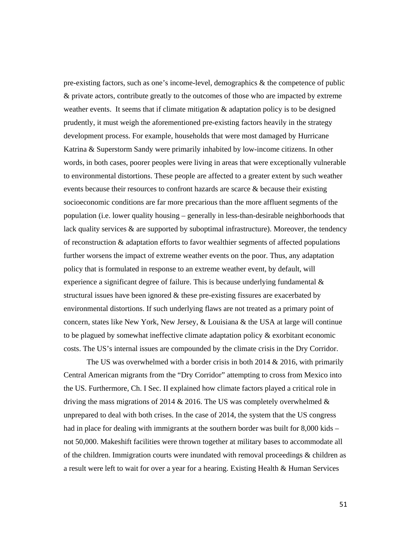pre-existing factors, such as one's income-level, demographics & the competence of public & private actors, contribute greatly to the outcomes of those who are impacted by extreme weather events. It seems that if climate mitigation  $\&$  adaptation policy is to be designed prudently, it must weigh the aforementioned pre-existing factors heavily in the strategy development process. For example, households that were most damaged by Hurricane Katrina & Superstorm Sandy were primarily inhabited by low-income citizens. In other words, in both cases, poorer peoples were living in areas that were exceptionally vulnerable to environmental distortions. These people are affected to a greater extent by such weather events because their resources to confront hazards are scarce & because their existing socioeconomic conditions are far more precarious than the more affluent segments of the population (i.e. lower quality housing – generally in less-than-desirable neighborhoods that lack quality services  $\&$  are supported by suboptimal infrastructure). Moreover, the tendency of reconstruction & adaptation efforts to favor wealthier segments of affected populations further worsens the impact of extreme weather events on the poor. Thus, any adaptation policy that is formulated in response to an extreme weather event, by default, will experience a significant degree of failure. This is because underlying fundamental & structural issues have been ignored & these pre-existing fissures are exacerbated by environmental distortions. If such underlying flaws are not treated as a primary point of concern, states like New York, New Jersey, & Louisiana & the USA at large will continue to be plagued by somewhat ineffective climate adaptation policy & exorbitant economic costs. The US's internal issues are compounded by the climate crisis in the Dry Corridor.

 The US was overwhelmed with a border crisis in both 2014 & 2016, with primarily Central American migrants from the "Dry Corridor" attempting to cross from Mexico into the US. Furthermore, Ch. I Sec. II explained how climate factors played a critical role in driving the mass migrations of 2014  $& 2016$ . The US was completely overwhelmed  $& 2016$ unprepared to deal with both crises. In the case of 2014, the system that the US congress had in place for dealing with immigrants at the southern border was built for 8,000 kids – not 50,000. Makeshift facilities were thrown together at military bases to accommodate all of the children. Immigration courts were inundated with removal proceedings & children as a result were left to wait for over a year for a hearing. Existing Health & Human Services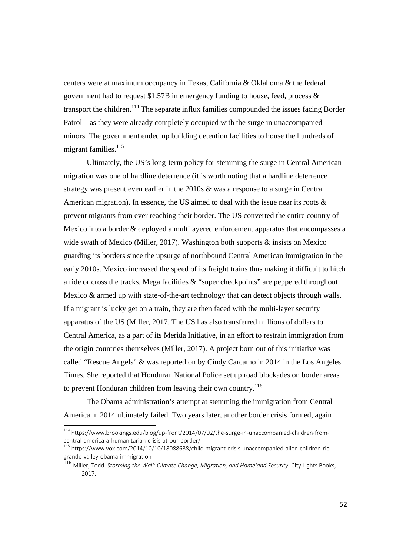centers were at maximum occupancy in Texas, California & Oklahoma & the federal government had to request  $$1.57B$  in emergency funding to house, feed, process  $\&$ transport the children.<sup>114</sup> The separate influx families compounded the issues facing Border Patrol – as they were already completely occupied with the surge in unaccompanied minors. The government ended up building detention facilities to house the hundreds of migrant families.<sup>115</sup>

 Ultimately, the US's long-term policy for stemming the surge in Central American migration was one of hardline deterrence (it is worth noting that a hardline deterrence strategy was present even earlier in the 2010s & was a response to a surge in Central American migration). In essence, the US aimed to deal with the issue near its roots  $\&$ prevent migrants from ever reaching their border. The US converted the entire country of Mexico into a border & deployed a multilayered enforcement apparatus that encompasses a wide swath of Mexico (Miller, 2017). Washington both supports & insists on Mexico guarding its borders since the upsurge of northbound Central American immigration in the early 2010s. Mexico increased the speed of its freight trains thus making it difficult to hitch a ride or cross the tracks. Mega facilities & "super checkpoints" are peppered throughout Mexico & armed up with state-of-the-art technology that can detect objects through walls. If a migrant is lucky get on a train, they are then faced with the multi-layer security apparatus of the US (Miller, 2017. The US has also transferred millions of dollars to Central America, as a part of its Merida Initiative, in an effort to restrain immigration from the origin countries themselves (Miller, 2017). A project born out of this initiative was called "Rescue Angels" & was reported on by Cindy Carcamo in 2014 in the Los Angeles Times. She reported that Honduran National Police set up road blockades on border areas to prevent Honduran children from leaving their own country.<sup>116</sup>

 The Obama administration's attempt at stemming the immigration from Central America in 2014 ultimately failed. Two years later, another border crisis formed, again

<sup>114</sup> https://www.brookings.edu/blog/up-front/2014/07/02/the-surge-in-unaccompanied-children-fromcentral-america-a-humanitarian-crisis-at-our-border/<br><sup>115</sup> https://www.vox.com/2014/10/10/18088638/child-migrant-crisis-unaccompanied-alien-children-rio-

grande‐valley‐obama‐immigration

<sup>116</sup> Miller, Todd. *Storming the Wall: Climate Change, Migration, and Homeland Security*. City Lights Books, 2017.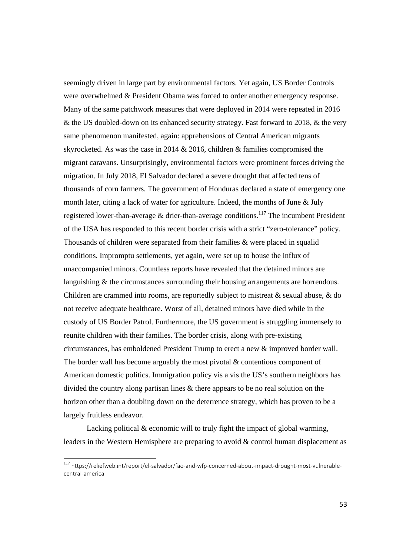seemingly driven in large part by environmental factors. Yet again, US Border Controls were overwhelmed & President Obama was forced to order another emergency response. Many of the same patchwork measures that were deployed in 2014 were repeated in 2016 & the US doubled-down on its enhanced security strategy. Fast forward to 2018, & the very same phenomenon manifested, again: apprehensions of Central American migrants skyrocketed. As was the case in 2014 & 2016, children & families compromised the migrant caravans. Unsurprisingly, environmental factors were prominent forces driving the migration. In July 2018, El Salvador declared a severe drought that affected tens of thousands of corn farmers. The government of Honduras declared a state of emergency one month later, citing a lack of water for agriculture. Indeed, the months of June & July registered lower-than-average  $\&$  drier-than-average conditions.<sup>117</sup> The incumbent President of the USA has responded to this recent border crisis with a strict "zero-tolerance" policy. Thousands of children were separated from their families & were placed in squalid conditions. Impromptu settlements, yet again, were set up to house the influx of unaccompanied minors. Countless reports have revealed that the detained minors are languishing & the circumstances surrounding their housing arrangements are horrendous. Children are crammed into rooms, are reportedly subject to mistreat & sexual abuse, & do not receive adequate healthcare. Worst of all, detained minors have died while in the custody of US Border Patrol. Furthermore, the US government is struggling immensely to reunite children with their families. The border crisis, along with pre-existing circumstances, has emboldened President Trump to erect a new & improved border wall. The border wall has become arguably the most pivotal & contentious component of American domestic politics. Immigration policy vis a vis the US's southern neighbors has divided the country along partisan lines & there appears to be no real solution on the horizon other than a doubling down on the deterrence strategy, which has proven to be a largely fruitless endeavor.

 Lacking political & economic will to truly fight the impact of global warming, leaders in the Western Hemisphere are preparing to avoid & control human displacement as

<sup>117</sup> https://reliefweb.int/report/el-salvador/fao-and-wfp-concerned-about-impact-drought-most-vulnerablecentral‐america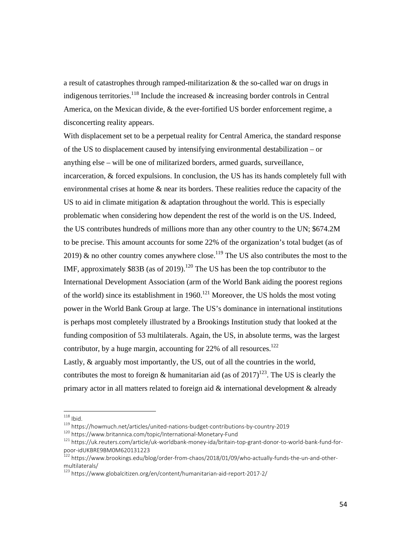a result of catastrophes through ramped-militarization & the so-called war on drugs in indigenous territories.<sup>118</sup> Include the increased  $\&$  increasing border controls in Central America, on the Mexican divide, & the ever-fortified US border enforcement regime, a disconcerting reality appears.

With displacement set to be a perpetual reality for Central America, the standard response of the US to displacement caused by intensifying environmental destabilization – or anything else – will be one of militarized borders, armed guards, surveillance, incarceration, & forced expulsions. In conclusion, the US has its hands completely full with environmental crises at home & near its borders. These realities reduce the capacity of the US to aid in climate mitigation & adaptation throughout the world. This is especially problematic when considering how dependent the rest of the world is on the US. Indeed, the US contributes hundreds of millions more than any other country to the UN; \$674.2M to be precise. This amount accounts for some 22% of the organization's total budget (as of 2019) & no other country comes anywhere close.<sup>119</sup> The US also contributes the most to the IMF, approximately  $$83B$  (as of 2019).<sup>120</sup> The US has been the top contributor to the International Development Association (arm of the World Bank aiding the poorest regions of the world) since its establishment in  $1960$ <sup>121</sup> Moreover, the US holds the most voting power in the World Bank Group at large. The US's dominance in international institutions is perhaps most completely illustrated by a Brookings Institution study that looked at the funding composition of 53 multilaterals. Again, the US, in absolute terms, was the largest contributor, by a huge margin, accounting for  $22\%$  of all resources.<sup>122</sup> Lastly, & arguably most importantly, the US, out of all the countries in the world, contributes the most to foreign & humanitarian aid (as of  $2017$ )<sup>123</sup>. The US is clearly the primary actor in all matters related to foreign aid & international development & already

 $118$  Ibid.

<sup>&</sup>lt;sup>119</sup> https://howmuch.net/articles/united-nations-budget-contributions-by-country-2019<br><sup>120</sup> https://www.britannica.com/topic/International-Monetary-Fund<br><sup>121</sup> https://uk.reuters.com/article/uk-worldbank-money-ida/britain

<sup>122</sup> https://www.brookings.edu/blog/order-from-chaos/2018/01/09/who-actually-funds-the-un-and-othermultilaterals/

<sup>123</sup> https://www.globalcitizen.org/en/content/humanitarian‐aid‐report‐2017‐2/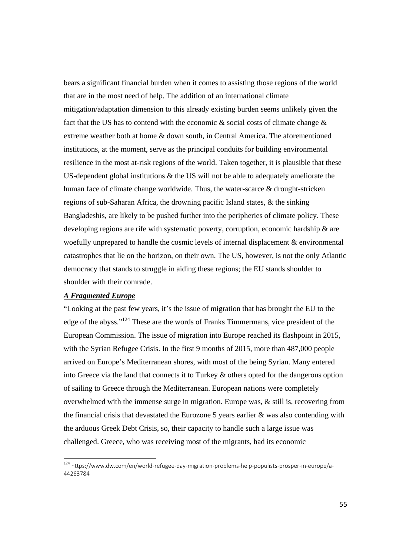bears a significant financial burden when it comes to assisting those regions of the world that are in the most need of help. The addition of an international climate mitigation/adaptation dimension to this already existing burden seems unlikely given the fact that the US has to contend with the economic  $\&$  social costs of climate change  $\&$ extreme weather both at home & down south, in Central America. The aforementioned institutions, at the moment, serve as the principal conduits for building environmental resilience in the most at-risk regions of the world. Taken together, it is plausible that these US-dependent global institutions  $\&$  the US will not be able to adequately ameliorate the human face of climate change worldwide. Thus, the water-scarce & drought-stricken regions of sub-Saharan Africa, the drowning pacific Island states, & the sinking Bangladeshis, are likely to be pushed further into the peripheries of climate policy. These developing regions are rife with systematic poverty, corruption, economic hardship & are woefully unprepared to handle the cosmic levels of internal displacement & environmental catastrophes that lie on the horizon, on their own. The US, however, is not the only Atlantic democracy that stands to struggle in aiding these regions; the EU stands shoulder to shoulder with their comrade.

#### *A Fragmented Europe*

"Looking at the past few years, it's the issue of migration that has brought the EU to the edge of the abyss."124 These are the words of Franks Timmermans, vice president of the European Commission. The issue of migration into Europe reached its flashpoint in 2015, with the Syrian Refugee Crisis. In the first 9 months of 2015, more than 487,000 people arrived on Europe's Mediterranean shores, with most of the being Syrian. Many entered into Greece via the land that connects it to Turkey & others opted for the dangerous option of sailing to Greece through the Mediterranean. European nations were completely overwhelmed with the immense surge in migration. Europe was, & still is, recovering from the financial crisis that devastated the Eurozone 5 years earlier & was also contending with the arduous Greek Debt Crisis, so, their capacity to handle such a large issue was challenged. Greece, who was receiving most of the migrants, had its economic

<sup>124</sup> https://www.dw.com/en/world-refugee-day-migration-problems-help-populists-prosper-in-europe/a-44263784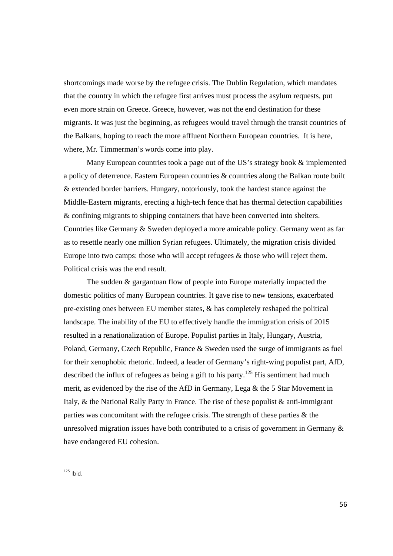shortcomings made worse by the refugee crisis. The Dublin Regulation, which mandates that the country in which the refugee first arrives must process the asylum requests, put even more strain on Greece. Greece, however, was not the end destination for these migrants. It was just the beginning, as refugees would travel through the transit countries of the Balkans, hoping to reach the more affluent Northern European countries. It is here, where, Mr. Timmerman's words come into play.

 Many European countries took a page out of the US's strategy book & implemented a policy of deterrence. Eastern European countries & countries along the Balkan route built & extended border barriers. Hungary, notoriously, took the hardest stance against the Middle-Eastern migrants, erecting a high-tech fence that has thermal detection capabilities & confining migrants to shipping containers that have been converted into shelters. Countries like Germany & Sweden deployed a more amicable policy. Germany went as far as to resettle nearly one million Syrian refugees. Ultimately, the migration crisis divided Europe into two camps: those who will accept refugees & those who will reject them. Political crisis was the end result.

 The sudden & gargantuan flow of people into Europe materially impacted the domestic politics of many European countries. It gave rise to new tensions, exacerbated pre-existing ones between EU member states, & has completely reshaped the political landscape. The inability of the EU to effectively handle the immigration crisis of 2015 resulted in a renationalization of Europe. Populist parties in Italy, Hungary, Austria, Poland, Germany, Czech Republic, France & Sweden used the surge of immigrants as fuel for their xenophobic rhetoric. Indeed, a leader of Germany's right-wing populist part, AfD, described the influx of refugees as being a gift to his party.<sup>125</sup> His sentiment had much merit, as evidenced by the rise of the AfD in Germany, Lega & the 5 Star Movement in Italy, & the National Rally Party in France. The rise of these populist & anti-immigrant parties was concomitant with the refugee crisis. The strength of these parties & the unresolved migration issues have both contributed to a crisis of government in Germany & have endangered EU cohesion.

 $125$  Ibid.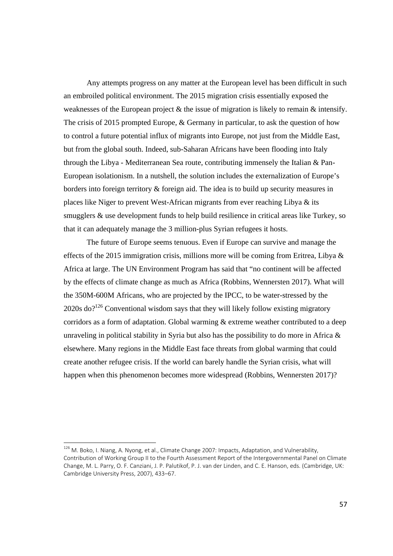Any attempts progress on any matter at the European level has been difficult in such an embroiled political environment. The 2015 migration crisis essentially exposed the weaknesses of the European project & the issue of migration is likely to remain & intensify. The crisis of 2015 prompted Europe, & Germany in particular, to ask the question of how to control a future potential influx of migrants into Europe, not just from the Middle East, but from the global south. Indeed, sub-Saharan Africans have been flooding into Italy through the Libya - Mediterranean Sea route, contributing immensely the Italian & Pan-European isolationism. In a nutshell, the solution includes the externalization of Europe's borders into foreign territory & foreign aid. The idea is to build up security measures in places like Niger to prevent West-African migrants from ever reaching Libya & its smugglers & use development funds to help build resilience in critical areas like Turkey, so that it can adequately manage the 3 million-plus Syrian refugees it hosts.

The future of Europe seems tenuous. Even if Europe can survive and manage the effects of the 2015 immigration crisis, millions more will be coming from Eritrea, Libya  $\&$ Africa at large. The UN Environment Program has said that "no continent will be affected by the effects of climate change as much as Africa (Robbins, Wennersten 2017). What will the 350M-600M Africans, who are projected by the IPCC, to be water-stressed by the  $2020s$  do?<sup>126</sup> Conventional wisdom says that they will likely follow existing migratory corridors as a form of adaptation. Global warming & extreme weather contributed to a deep unraveling in political stability in Syria but also has the possibility to do more in Africa & elsewhere. Many regions in the Middle East face threats from global warming that could create another refugee crisis. If the world can barely handle the Syrian crisis, what will happen when this phenomenon becomes more widespread (Robbins, Wennersten 2017)?

<sup>&</sup>lt;sup>126</sup> M. Boko, I. Niang, A. Nyong, et al., Climate Change 2007: Impacts, Adaptation, and Vulnerability, Contribution of Working Group II to the Fourth Assessment Report of the Intergovernmental Panel on Climate Change, M. L. Parry, O. F. Canziani, J. P. Palutikof, P. J. van der Linden, and C. E. Hanson, eds. (Cambridge, UK: Cambridge University Press, 2007), 433–67.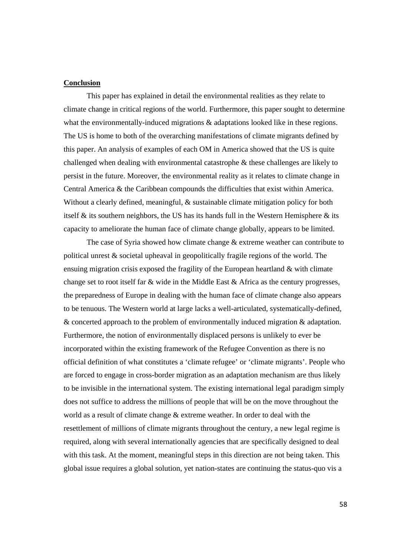#### **Conclusion**

This paper has explained in detail the environmental realities as they relate to climate change in critical regions of the world. Furthermore, this paper sought to determine what the environmentally-induced migrations  $\&$  adaptations looked like in these regions. The US is home to both of the overarching manifestations of climate migrants defined by this paper. An analysis of examples of each OM in America showed that the US is quite challenged when dealing with environmental catastrophe & these challenges are likely to persist in the future. Moreover, the environmental reality as it relates to climate change in Central America & the Caribbean compounds the difficulties that exist within America. Without a clearly defined, meaningful, & sustainable climate mitigation policy for both itself  $\&$  its southern neighbors, the US has its hands full in the Western Hemisphere  $\&$  its capacity to ameliorate the human face of climate change globally, appears to be limited.

The case of Syria showed how climate change & extreme weather can contribute to political unrest & societal upheaval in geopolitically fragile regions of the world. The ensuing migration crisis exposed the fragility of the European heartland & with climate change set to root itself far & wide in the Middle East & Africa as the century progresses, the preparedness of Europe in dealing with the human face of climate change also appears to be tenuous. The Western world at large lacks a well-articulated, systematically-defined, & concerted approach to the problem of environmentally induced migration & adaptation. Furthermore, the notion of environmentally displaced persons is unlikely to ever be incorporated within the existing framework of the Refugee Convention as there is no official definition of what constitutes a 'climate refugee' or 'climate migrants'. People who are forced to engage in cross-border migration as an adaptation mechanism are thus likely to be invisible in the international system. The existing international legal paradigm simply does not suffice to address the millions of people that will be on the move throughout the world as a result of climate change & extreme weather. In order to deal with the resettlement of millions of climate migrants throughout the century, a new legal regime is required, along with several internationally agencies that are specifically designed to deal with this task. At the moment, meaningful steps in this direction are not being taken. This global issue requires a global solution, yet nation-states are continuing the status-quo vis a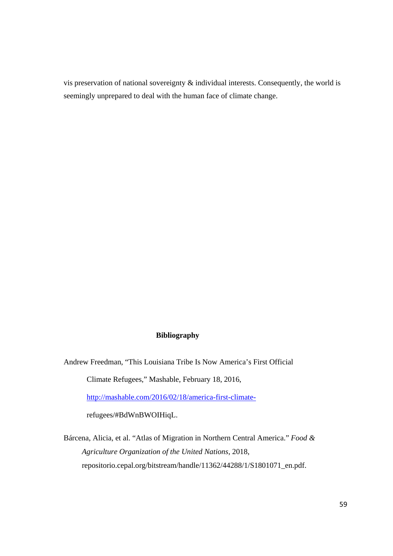vis preservation of national sovereignty & individual interests. Consequently, the world is seemingly unprepared to deal with the human face of climate change.

#### **Bibliography**

Andrew Freedman, "This Louisiana Tribe Is Now America's First Official

Climate Refugees," Mashable, February 18, 2016,

http://mashable.com/2016/02/18/america-first-climate-

refugees/#BdWnBWOIHiqL.

Bárcena, Alicia, et al. "Atlas of Migration in Northern Central America." *Food & Agriculture Organization of the United Nations*, 2018, repositorio.cepal.org/bitstream/handle/11362/44288/1/S1801071\_en.pdf.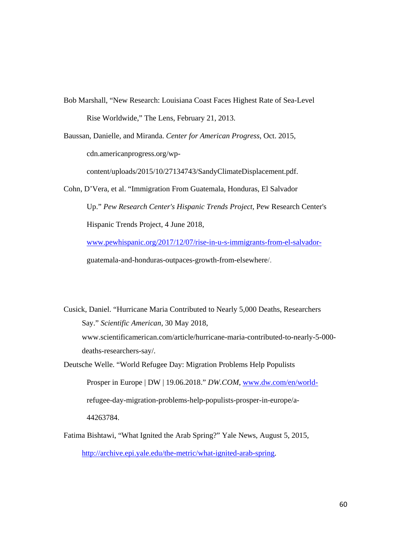- Bob Marshall, "New Research: Louisiana Coast Faces Highest Rate of Sea-Level Rise Worldwide," The Lens, February 21, 2013.
- Baussan, Danielle, and Miranda. *Center for American Progress*, Oct. 2015, cdn.americanprogress.org/wpcontent/uploads/2015/10/27134743/SandyClimateDisplacement.pdf.
- Cohn, D'Vera, et al. "Immigration From Guatemala, Honduras, El Salvador Up." *Pew Research Center's Hispanic Trends Project*, Pew Research Center's Hispanic Trends Project, 4 June 2018, www.pewhispanic.org/2017/12/07/rise-in-u-s-immigrants-from-el-salvadorguatemala-and-honduras-outpaces-growth-from-elsewhere/.
- Cusick, Daniel. "Hurricane Maria Contributed to Nearly 5,000 Deaths, Researchers Say." *Scientific American*, 30 May 2018, www.scientificamerican.com/article/hurricane-maria-contributed-to-nearly-5-000 deaths-researchers-say/. Deutsche Welle. "World Refugee Day: Migration Problems Help Populists

Prosper in Europe | DW | 19.06.2018." *DW.COM*, www.dw.com/en/worldrefugee-day-migration-problems-help-populists-prosper-in-europe/a-44263784.

Fatima Bishtawi, "What Ignited the Arab Spring?" Yale News, August 5, 2015, http://archive.epi.yale.edu/the-metric/what-ignited-arab-spring.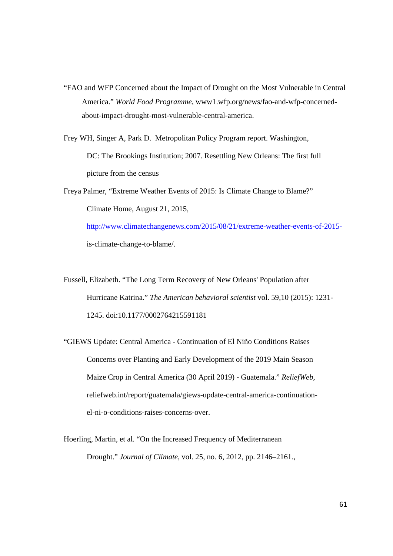- "FAO and WFP Concerned about the Impact of Drought on the Most Vulnerable in Central America." *World Food Programme*, www1.wfp.org/news/fao-and-wfp-concernedabout-impact-drought-most-vulnerable-central-america.
- Frey WH, Singer A, Park D. Metropolitan Policy Program report. Washington, DC: The Brookings Institution; 2007. Resettling New Orleans: The first full picture from the census
- Freya Palmer, "Extreme Weather Events of 2015: Is Climate Change to Blame?" Climate Home, August 21, 2015,

http://www.climatechangenews.com/2015/08/21/extreme-weather-events-of-2015 is-climate-change-to-blame/.

- Fussell, Elizabeth. "The Long Term Recovery of New Orleans' Population after Hurricane Katrina." *The American behavioral scientist* vol. 59,10 (2015): 1231- 1245. doi:10.1177/0002764215591181
- "GIEWS Update: Central America Continuation of El Niño Conditions Raises Concerns over Planting and Early Development of the 2019 Main Season Maize Crop in Central America (30 April 2019) - Guatemala." *ReliefWeb*, reliefweb.int/report/guatemala/giews-update-central-america-continuationel-ni-o-conditions-raises-concerns-over.
- Hoerling, Martin, et al. "On the Increased Frequency of Mediterranean Drought." *Journal of Climate*, vol. 25, no. 6, 2012, pp. 2146–2161.,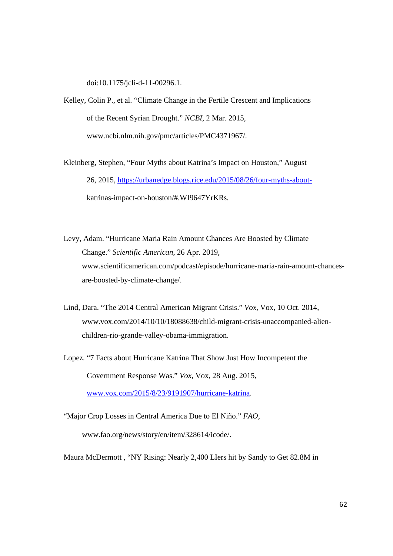doi:10.1175/jcli-d-11-00296.1.

- Kelley, Colin P., et al. "Climate Change in the Fertile Crescent and Implications of the Recent Syrian Drought." *NCBI*, 2 Mar. 2015, www.ncbi.nlm.nih.gov/pmc/articles/PMC4371967/.
- Kleinberg, Stephen, "Four Myths about Katrina's Impact on Houston," August 26, 2015, https://urbanedge.blogs.rice.edu/2015/08/26/four-myths-aboutkatrinas-impact-on-houston/#.WI9647YrKRs.
- Levy, Adam. "Hurricane Maria Rain Amount Chances Are Boosted by Climate Change." *Scientific American*, 26 Apr. 2019, www.scientificamerican.com/podcast/episode/hurricane-maria-rain-amount-chancesare-boosted-by-climate-change/.
- Lind, Dara. "The 2014 Central American Migrant Crisis." *Vox*, Vox, 10 Oct. 2014, www.vox.com/2014/10/10/18088638/child-migrant-crisis-unaccompanied-alienchildren-rio-grande-valley-obama-immigration.
- Lopez. "7 Facts about Hurricane Katrina That Show Just How Incompetent the Government Response Was." *Vox*, Vox, 28 Aug. 2015, www.vox.com/2015/8/23/9191907/hurricane-katrina.
- "Major Crop Losses in Central America Due to El Niño." *FAO*, www.fao.org/news/story/en/item/328614/icode/.
- Maura McDermott , "NY Rising: Nearly 2,400 LIers hit by Sandy to Get 82.8M in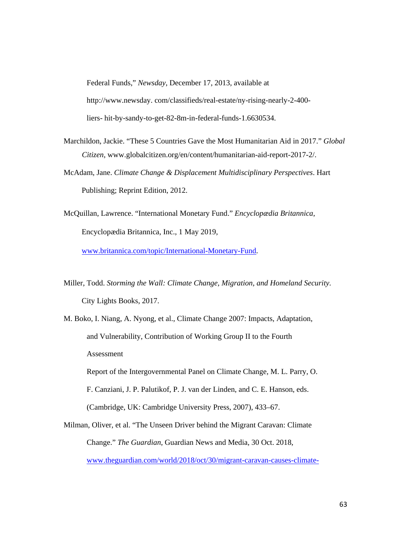Federal Funds," *Newsday*, December 17, 2013, available at http://www.newsday. com/classifieds/real-estate/ny-rising-nearly-2-400 liers- hit-by-sandy-to-get-82-8m-in-federal-funds-1.6630534.

- Marchildon, Jackie. "These 5 Countries Gave the Most Humanitarian Aid in 2017." *Global Citizen*, www.globalcitizen.org/en/content/humanitarian-aid-report-2017-2/.
- McAdam, Jane. *Climate Change & Displacement Multidisciplinary Perspectives*. Hart Publishing; Reprint Edition, 2012.
- McQuillan, Lawrence. "International Monetary Fund." *Encyclopædia Britannica*, Encyclopædia Britannica, Inc., 1 May 2019,

www.britannica.com/topic/International-Monetary-Fund.

- Miller, Todd. *Storming the Wall: Climate Change, Migration, and Homeland Security*. City Lights Books, 2017.
- M. Boko, I. Niang, A. Nyong, et al., Climate Change 2007: Impacts, Adaptation, and Vulnerability, Contribution of Working Group II to the Fourth Assessment

Report of the Intergovernmental Panel on Climate Change, M. L. Parry, O.

F. Canziani, J. P. Palutikof, P. J. van der Linden, and C. E. Hanson, eds. (Cambridge, UK: Cambridge University Press, 2007), 433–67.

Milman, Oliver, et al. "The Unseen Driver behind the Migrant Caravan: Climate Change." *The Guardian*, Guardian News and Media, 30 Oct. 2018, www.theguardian.com/world/2018/oct/30/migrant-caravan-causes-climate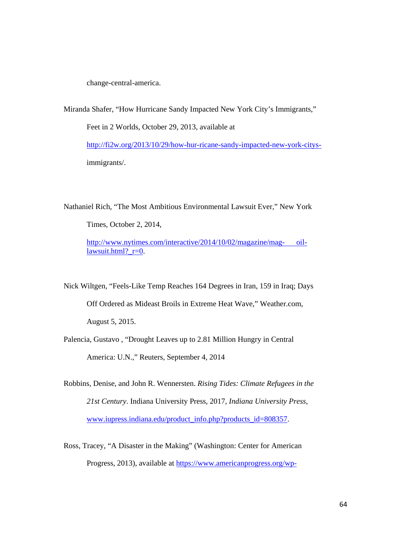change-central-america.

Miranda Shafer, "How Hurricane Sandy Impacted New York City's Immigrants," Feet in 2 Worlds, October 29, 2013, available at http://fi2w.org/2013/10/29/how-hur-ricane-sandy-impacted-new-york-citysimmigrants/.

Nathaniel Rich, "The Most Ambitious Environmental Lawsuit Ever," New York

Times, October 2, 2014,

http://www.nytimes.com/interactive/2014/10/02/magazine/mag- oillawsuit.html?  $r=0$ .

Nick Wiltgen, "Feels-Like Temp Reaches 164 Degrees in Iran, 159 in Iraq; Days Off Ordered as Mideast Broils in Extreme Heat Wave," Weather.com, August 5, 2015.

Palencia, Gustavo , "Drought Leaves up to 2.81 Million Hungry in Central America: U.N.," Reuters, September 4, 2014

Robbins, Denise, and John R. Wennersten. *Rising Tides: Climate Refugees in the 21st Century*. Indiana University Press, 2017, *Indiana University Press*, www.iupress.indiana.edu/product\_info.php?products\_id=808357.

Ross, Tracey, "A Disaster in the Making" (Washington: Center for American Progress, 2013), available at https://www.americanprogress.org/wp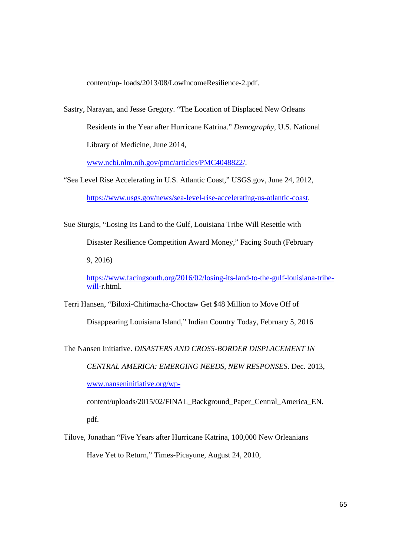content/up- loads/2013/08/LowIncomeResilience-2.pdf.

Sastry, Narayan, and Jesse Gregory. "The Location of Displaced New Orleans Residents in the Year after Hurricane Katrina." *Demography*, U.S. National Library of Medicine, June 2014,

www.ncbi.nlm.nih.gov/pmc/articles/PMC4048822/.

- "Sea Level Rise Accelerating in U.S. Atlantic Coast," USGS.gov, June 24, 2012, https://www.usgs.gov/news/sea-level-rise-accelerating-us-atlantic-coast.
- Sue Sturgis, "Losing Its Land to the Gulf, Louisiana Tribe Will Resettle with Disaster Resilience Competition Award Money," Facing South (February 9, 2016)

https://www.facingsouth.org/2016/02/losing-its-land-to-the-gulf-louisiana-tribewill-r.html.

Terri Hansen, "Biloxi-Chitimacha-Choctaw Get \$48 Million to Move Off of Disappearing Louisiana Island," Indian Country Today, February 5, 2016

The Nansen Initiative. *DISASTERS AND CROSS-BORDER DISPLACEMENT IN CENTRAL AMERICA: EMERGING NEEDS, NEW RESPONSES*. Dec. 2013, www.nanseninitiative.org/wp-

content/uploads/2015/02/FINAL\_Background\_Paper\_Central\_America\_EN. pdf.

Tilove, Jonathan "Five Years after Hurricane Katrina, 100,000 New Orleanians Have Yet to Return," Times-Picayune, August 24, 2010,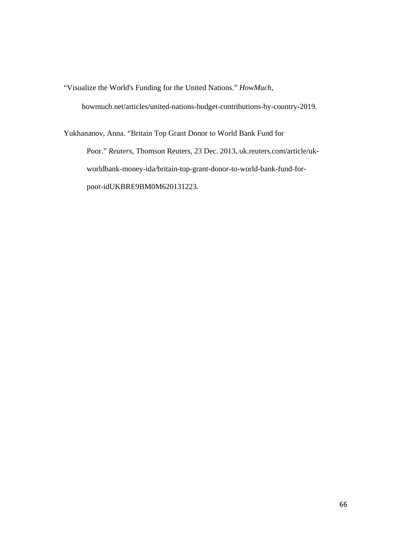"Visualize the World's Funding for the United Nations." *HowMuch*,

howmuch.net/articles/united-nations-budget-contributions-by-country-2019.

Yukhananov, Anna. "Britain Top Grant Donor to World Bank Fund for Poor." *Reuters*, Thomson Reuters, 23 Dec. 2013, uk.reuters.com/article/ukworldbank-money-ida/britain-top-grant-donor-to-world-bank-fund-forpoor-idUKBRE9BM0M620131223.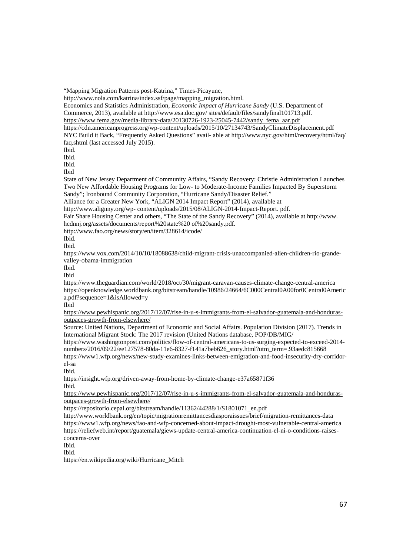"Mapping Migration Patterns post-Katrina," Times-Picayune, http://www.nola.com/katrina/index.ssf/page/mapping\_migration.html. Economics and Statistics Administration, *Economic Impact of Hurricane Sandy* (U.S. Department of Commerce, 2013), available at http://www.esa.doc.gov/ sites/default/files/sandyfinal101713.pdf. https://www.fema.gov/media-library-data/20130726-1923-25045-7442/sandy\_fema\_aar.pdf https://cdn.americanprogress.org/wp-content/uploads/2015/10/27134743/SandyClimateDisplacement.pdf NYC Build it Back, "Frequently Asked Questions" avail- able at http://www.nyc.gov/html/recovery/html/faq/ faq.shtml (last accessed July 2015). Ibid. Ibid. Ibid. Ibid State of New Jersey Department of Community Affairs, "Sandy Recovery: Christie Administration Launches Two New Affordable Housing Programs for Low- to Moderate-Income Families Impacted By Superstorm Sandy"; Ironbound Community Corporation, "Hurricane Sandy/Disaster Relief." Alliance for a Greater New York, "ALIGN 2014 Impact Report" (2014), available at http://www.alignny.org/wp- content/uploads/2015/08/ALIGN-2014-Impact-Report. pdf. Fair Share Housing Center and others, "The State of the Sandy Recovery" (2014), available at http://www. hcdnnj.org/assets/documents/report%20state%20 of%20sandy.pdf. http://www.fao.org/news/story/en/item/328614/icode/ Ibid. Ibid. https://www.vox.com/2014/10/10/18088638/child-migrant-crisis-unaccompanied-alien-children-rio-grandevalley-obama-immigration Ibid. Ibid https://www.theguardian.com/world/2018/oct/30/migrant-caravan-causes-climate-change-central-america https://openknowledge.worldbank.org/bitstream/handle/10986/24664/6C000Central0A00for0Central0Americ a.pdf?sequence=1&isAllowed=y Ibid https://www.pewhispanic.org/2017/12/07/rise-in-u-s-immigrants-from-el-salvador-guatemala-and-hondurasoutpaces-growth-from-elsewhere/ Source: United Nations, Department of Economic and Social Affairs. Population Division (2017). Trends in International Migrant Stock: The 2017 revision (United Nations database, POP/DB/MIG/ https://www.washingtonpost.com/politics/flow-of-central-americans-to-us-surging-expected-to-exceed-2014 numbers/2016/09/22/ee127578-80da-11e6-8327-f141a7beb626\_story.html?utm\_term=.93aedc815668 https://www1.wfp.org/news/new-study-examines-links-between-emigration-and-food-insecurity-dry-corridorel-sa Ibid. https://insight.wfp.org/driven-away-from-home-by-climate-change-e37a65871f36 Ibid. https://www.pewhispanic.org/2017/12/07/rise-in-u-s-immigrants-from-el-salvador-guatemala-and-hondurasoutpaces-growth-from-elsewhere/ https://repositorio.cepal.org/bitstream/handle/11362/44288/1/S1801071\_en.pdf http://www.worldbank.org/en/topic/migrationremittancesdiasporaissues/brief/migration-remittances-data https://www1.wfp.org/news/fao-and-wfp-concerned-about-impact-drought-most-vulnerable-central-america https://reliefweb.int/report/guatemala/giews-update-central-america-continuation-el-ni-o-conditions-raisesconcerns-over Ibid. Ibid. https://en.wikipedia.org/wiki/Hurricane\_Mitch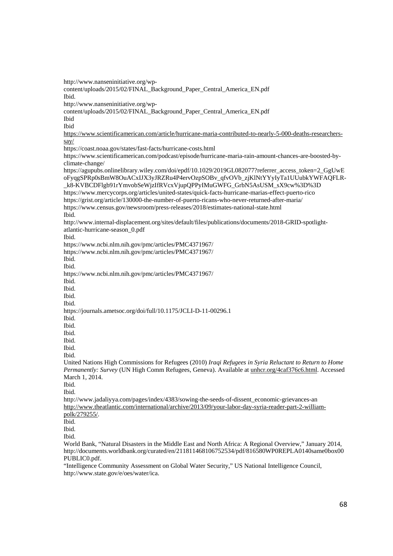http://www.nanseninitiative.org/wp-

content/uploads/2015/02/FINAL\_Background\_Paper\_Central\_America\_EN.pdf

Ibid.

http://www.nanseninitiative.org/wp-

content/uploads/2015/02/FINAL\_Background\_Paper\_Central\_America\_EN.pdf

Ibid Ibid

https://www.scientificamerican.com/article/hurricane-maria-contributed-to-nearly-5-000-deaths-researcherssay/

https://coast.noaa.gov/states/fast-facts/hurricane-costs.html

https://www.scientificamerican.com/podcast/episode/hurricane-maria-rain-amount-chances-are-boosted-byclimate-change/

https://agupubs.onlinelibrary.wiley.com/doi/epdf/10.1029/2019GL082077?referrer\_access\_token=2\_GgUwE oFyqgSPRp0sBmW8OuACxIJX3yJRZRu4P4ervOzpSOBv\_qfvOVb\_zjKlNtYYyIyTa1UUubkYWFAQFLR- \_k8-KVBCDFlgb91rYmvobSeWjzIfRVcxVjupQPPyIMuGWFG\_GrbN5AsUSM\_sX9cw%3D%3D https://www.mercycorps.org/articles/united-states/quick-facts-hurricane-marias-effect-puerto-rico https://grist.org/article/130000-the-number-of-puerto-ricans-who-never-returned-after-maria/ https://www.census.gov/newsroom/press-releases/2018/estimates-national-state.html Ibid. http://www.internal-displacement.org/sites/default/files/publications/documents/2018-GRID-spotlightatlantic-hurricane-season\_0.pdf Ibid. https://www.ncbi.nlm.nih.gov/pmc/articles/PMC4371967/ https://www.ncbi.nlm.nih.gov/pmc/articles/PMC4371967/ Ibid. Ibid. https://www.ncbi.nlm.nih.gov/pmc/articles/PMC4371967/ Ibid. Ibid. Ibid. Ibid. https://journals.ametsoc.org/doi/full/10.1175/JCLI-D-11-00296.1 Ibid. Ibid. Ibid. Ibid. Ibid. Ibid. United Nations High Commissions for Refugees (2010) *Iraqi Refugees in Syria Reluctant to Return to Home Permanently: Survey* (UN High Comm Refugees, Geneva). Available at unhcr.org/4caf376c6.html. Accessed March 1, 2014. Ibid. Ibid. http://www.jadaliyya.com/pages/index/4383/sowing-the-seeds-of-dissent\_economic-grievances-an http://www.theatlantic.com/international/archive/2013/09/your-labor-day-syria-reader-part-2-williampolk/279255/. Ibid. Ibid. Ibid.

World Bank, "Natural Disasters in the Middle East and North Africa: A Regional Overview," January 2014, http://documents.worldbank.org/curated/en/211811468106752534/pdf/816580WP0REPLA0140same0box00 PUBLIC0.pdf.

"Intelligence Community Assessment on Global Water Security," US National Intelligence Council, http://www.state.gov/e/oes/water/ica.